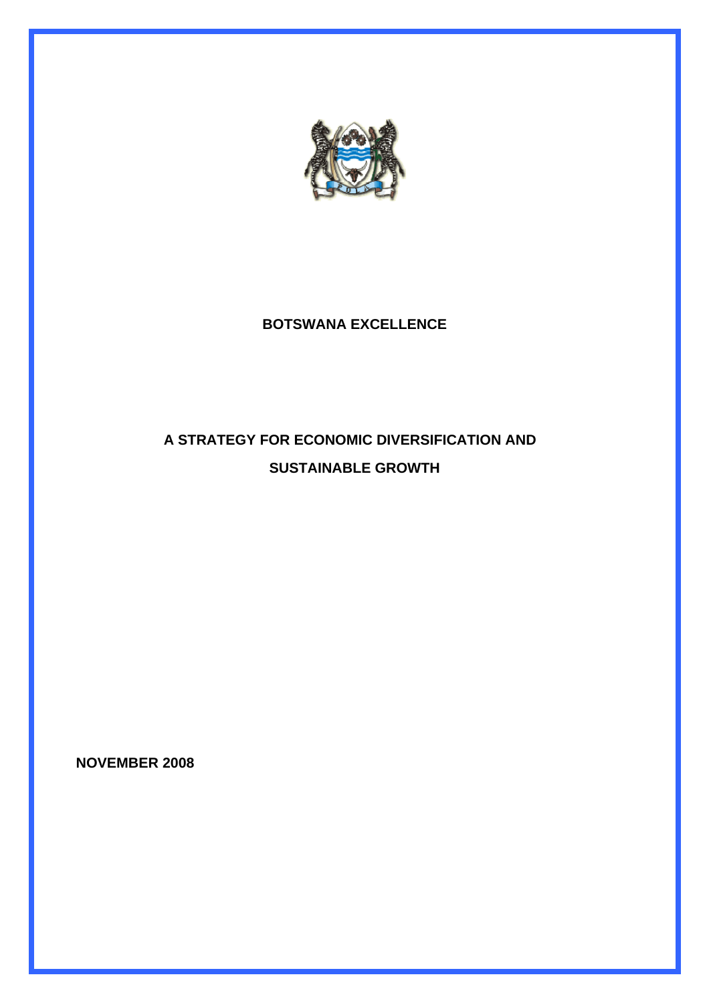

## **BOTSWANA EXCELLENCE**

# **A STRATEGY FOR ECONOMIC DIVERSIFICATION AND SUSTAINABLE GROWTH**

**NOVEMBER 2008**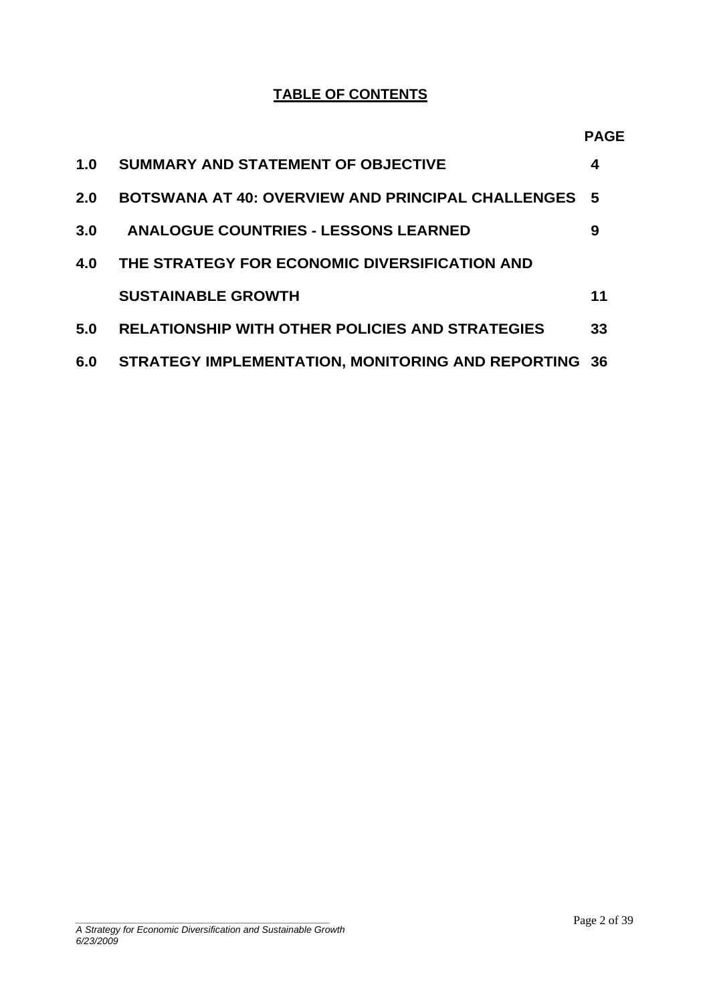### **TABLE OF CONTENTS**

| 1.0 | SUMMARY AND STATEMENT OF OBJECTIVE                          | 4  |
|-----|-------------------------------------------------------------|----|
| 2.0 | <b>BOTSWANA AT 40: OVERVIEW AND PRINCIPAL CHALLENGES 5</b>  |    |
| 3.0 | <b>ANALOGUE COUNTRIES - LESSONS LEARNED</b>                 | 9  |
| 4.0 | THE STRATEGY FOR ECONOMIC DIVERSIFICATION AND               |    |
|     | <b>SUSTAINABLE GROWTH</b>                                   | 11 |
| 5.0 | <b>RELATIONSHIP WITH OTHER POLICIES AND STRATEGIES</b>      | 33 |
| 6.0 | <b>STRATEGY IMPLEMENTATION, MONITORING AND REPORTING 36</b> |    |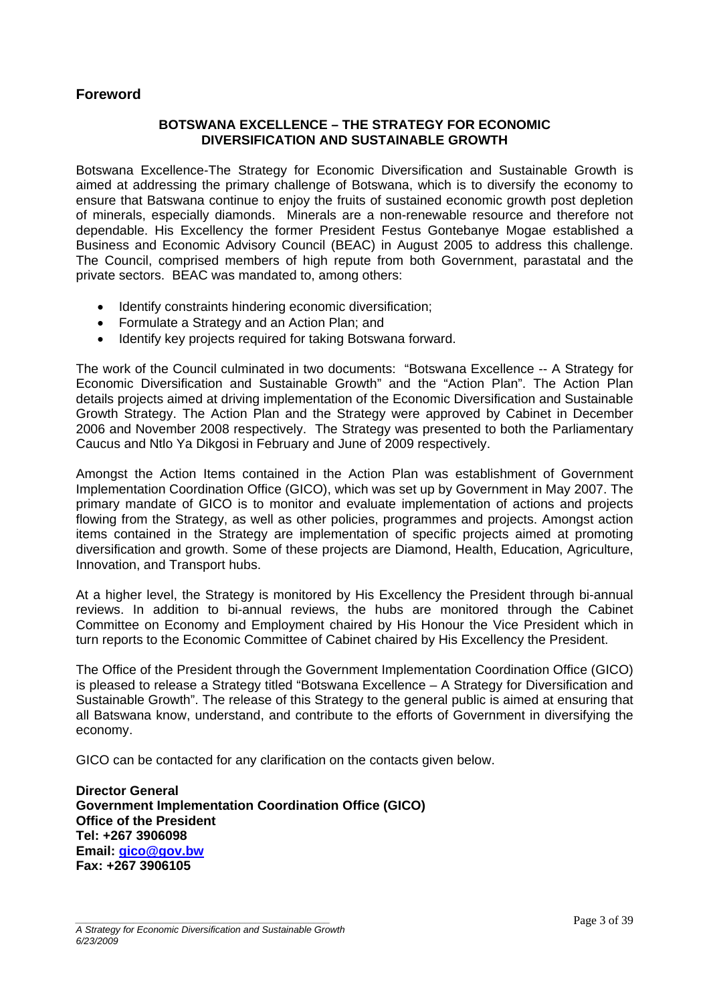#### **Foreword**

#### **BOTSWANA EXCELLENCE – THE STRATEGY FOR ECONOMIC DIVERSIFICATION AND SUSTAINABLE GROWTH**

Botswana Excellence-The Strategy for Economic Diversification and Sustainable Growth is aimed at addressing the primary challenge of Botswana, which is to diversify the economy to ensure that Batswana continue to enjoy the fruits of sustained economic growth post depletion of minerals, especially diamonds. Minerals are a non-renewable resource and therefore not dependable. His Excellency the former President Festus Gontebanye Mogae established a Business and Economic Advisory Council (BEAC) in August 2005 to address this challenge. The Council, comprised members of high repute from both Government, parastatal and the private sectors. BEAC was mandated to, among others:

- Identify constraints hindering economic diversification;
- Formulate a Strategy and an Action Plan; and
- Identify key projects required for taking Botswana forward.

The work of the Council culminated in two documents: "Botswana Excellence -- A Strategy for Economic Diversification and Sustainable Growth" and the "Action Plan". The Action Plan details projects aimed at driving implementation of the Economic Diversification and Sustainable Growth Strategy. The Action Plan and the Strategy were approved by Cabinet in December 2006 and November 2008 respectively. The Strategy was presented to both the Parliamentary Caucus and Ntlo Ya Dikgosi in February and June of 2009 respectively.

Amongst the Action Items contained in the Action Plan was establishment of Government Implementation Coordination Office (GICO), which was set up by Government in May 2007. The primary mandate of GICO is to monitor and evaluate implementation of actions and projects flowing from the Strategy, as well as other policies, programmes and projects. Amongst action items contained in the Strategy are implementation of specific projects aimed at promoting diversification and growth. Some of these projects are Diamond, Health, Education, Agriculture, Innovation, and Transport hubs.

At a higher level, the Strategy is monitored by His Excellency the President through bi-annual reviews. In addition to bi-annual reviews, the hubs are monitored through the Cabinet Committee on Economy and Employment chaired by His Honour the Vice President which in turn reports to the Economic Committee of Cabinet chaired by His Excellency the President.

The Office of the President through the Government Implementation Coordination Office (GICO) is pleased to release a Strategy titled "Botswana Excellence – A Strategy for Diversification and Sustainable Growth". The release of this Strategy to the general public is aimed at ensuring that all Batswana know, understand, and contribute to the efforts of Government in diversifying the economy.

GICO can be contacted for any clarification on the contacts given below.

**Director General Government Implementation Coordination Office (GICO) Office of the President Tel: +267 3906098 Email: [gico@gov.bw](mailto:gico@gov.bw) Fax: +267 3906105**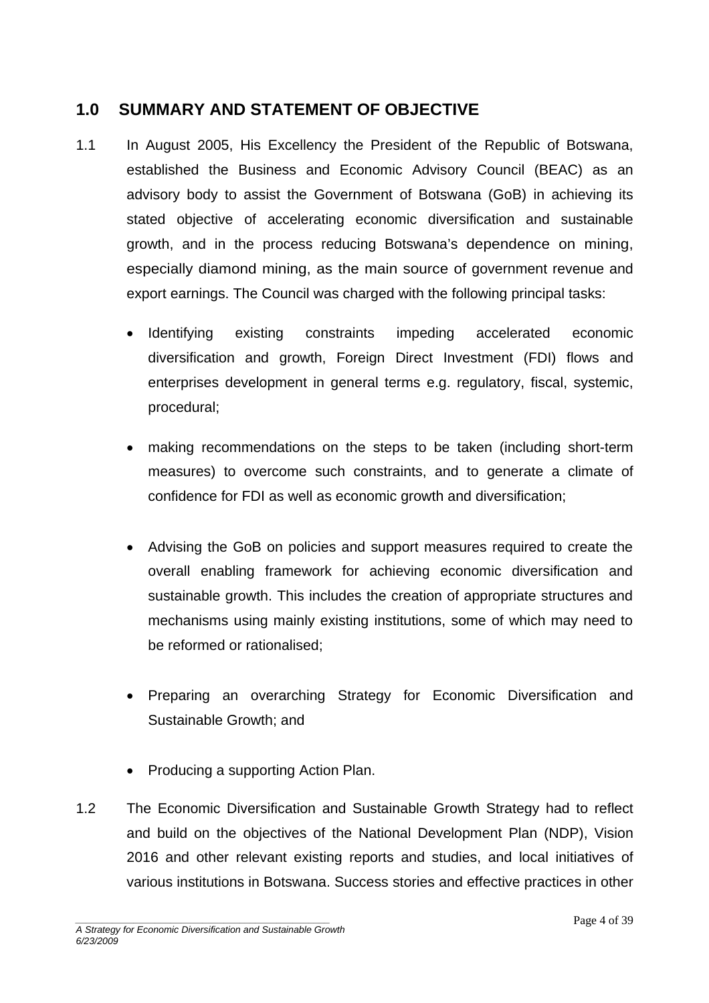### <span id="page-3-0"></span>**1.0 SUMMARY AND STATEMENT OF OBJECTIVE**

- 1.1 In August 2005, His Excellency the President of the Republic of Botswana, established the Business and Economic Advisory Council (BEAC) as an advisory body to assist the Government of Botswana (GoB) in achieving its stated objective of accelerating economic diversification and sustainable growth, and in the process reducing Botswana's dependence on mining, especially diamond mining, as the main source of government revenue and export earnings. The Council was charged with the following principal tasks:
	- Identifying existing constraints impeding accelerated economic diversification and growth, Foreign Direct Investment (FDI) flows and enterprises development in general terms e.g. regulatory, fiscal, systemic, procedural;
	- making recommendations on the steps to be taken (including short-term measures) to overcome such constraints, and to generate a climate of confidence for FDI as well as economic growth and diversification;
	- Advising the GoB on policies and support measures required to create the overall enabling framework for achieving economic diversification and sustainable growth. This includes the creation of appropriate structures and mechanisms using mainly existing institutions, some of which may need to be reformed or rationalised;
	- Preparing an overarching Strategy for Economic Diversification and Sustainable Growth; and
	- Producing a supporting Action Plan.
- 1.2 The Economic Diversification and Sustainable Growth Strategy had to reflect and build on the objectives of the National Development Plan (NDP), Vision 2016 and other relevant existing reports and studies, and local initiatives of various institutions in Botswana. Success stories and effective practices in other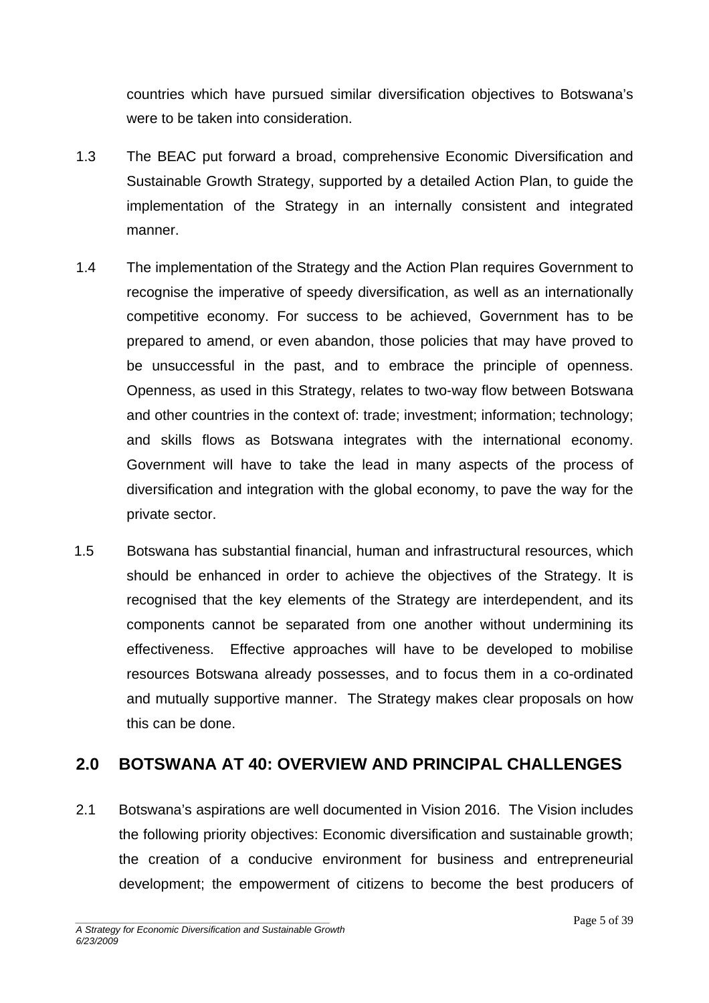<span id="page-4-0"></span>countries which have pursued similar diversification objectives to Botswana's were to be taken into consideration.

- 1.3 The BEAC put forward a broad, comprehensive Economic Diversification and Sustainable Growth Strategy, supported by a detailed Action Plan, to guide the implementation of the Strategy in an internally consistent and integrated manner.
- 1.4 The implementation of the Strategy and the Action Plan requires Government to recognise the imperative of speedy diversification, as well as an internationally competitive economy. For success to be achieved, Government has to be prepared to amend, or even abandon, those policies that may have proved to be unsuccessful in the past, and to embrace the principle of openness. Openness, as used in this Strategy, relates to two-way flow between Botswana and other countries in the context of: trade; investment; information; technology; and skills flows as Botswana integrates with the international economy. Government will have to take the lead in many aspects of the process of diversification and integration with the global economy, to pave the way for the private sector.
- 1.5 Botswana has substantial financial, human and infrastructural resources, which should be enhanced in order to achieve the objectives of the Strategy. It is recognised that the key elements of the Strategy are interdependent, and its components cannot be separated from one another without undermining its effectiveness. Effective approaches will have to be developed to mobilise resources Botswana already possesses, and to focus them in a co-ordinated and mutually supportive manner. The Strategy makes clear proposals on how this can be done.

### **2.0 BOTSWANA AT 40: OVERVIEW AND PRINCIPAL CHALLENGES**

2.1 Botswana's aspirations are well documented in Vision 2016. The Vision includes the following priority objectives: Economic diversification and sustainable growth; the creation of a conducive environment for business and entrepreneurial development; the empowerment of citizens to become the best producers of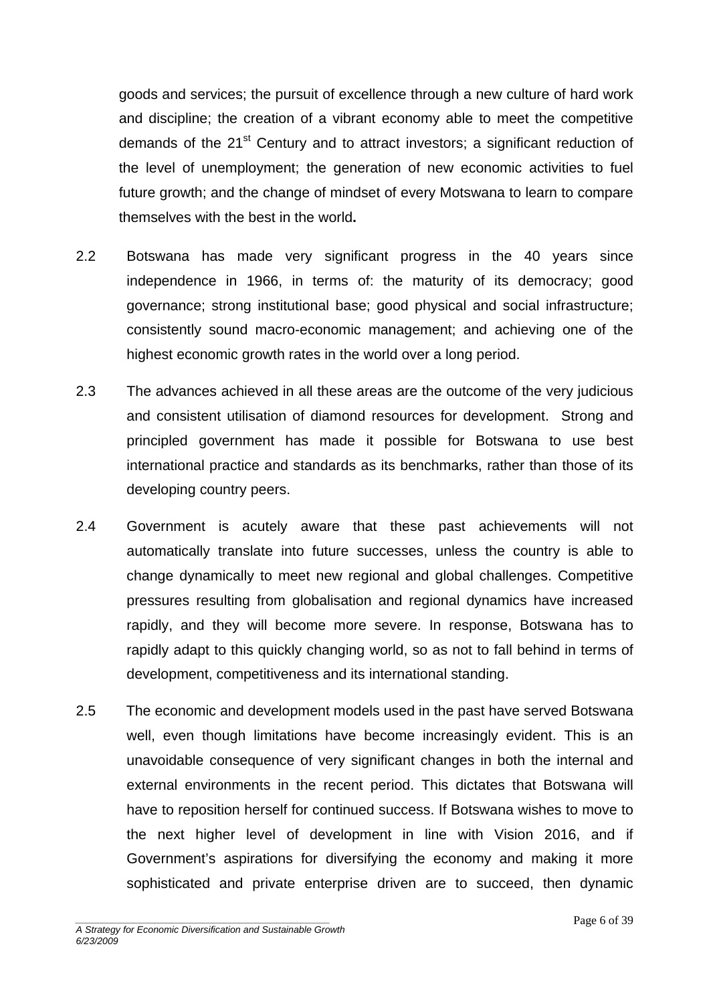goods and services; the pursuit of excellence through a new culture of hard work and discipline; the creation of a vibrant economy able to meet the competitive demands of the 21<sup>st</sup> Century and to attract investors; a significant reduction of the level of unemployment; the generation of new economic activities to fuel future growth; and the change of mindset of every Motswana to learn to compare themselves with the best in the world**.** 

- 2.2 Botswana has made very significant progress in the 40 years since independence in 1966, in terms of: the maturity of its democracy; good governance; strong institutional base; good physical and social infrastructure; consistently sound macro-economic management; and achieving one of the highest economic growth rates in the world over a long period.
- 2.3 The advances achieved in all these areas are the outcome of the very judicious and consistent utilisation of diamond resources for development. Strong and principled government has made it possible for Botswana to use best international practice and standards as its benchmarks, rather than those of its developing country peers.
- 2.4 Government is acutely aware that these past achievements will not automatically translate into future successes, unless the country is able to change dynamically to meet new regional and global challenges. Competitive pressures resulting from globalisation and regional dynamics have increased rapidly, and they will become more severe. In response, Botswana has to rapidly adapt to this quickly changing world, so as not to fall behind in terms of development, competitiveness and its international standing.
- 2.5 The economic and development models used in the past have served Botswana well, even though limitations have become increasingly evident. This is an unavoidable consequence of very significant changes in both the internal and external environments in the recent period. This dictates that Botswana will have to reposition herself for continued success. If Botswana wishes to move to the next higher level of development in line with Vision 2016, and if Government's aspirations for diversifying the economy and making it more sophisticated and private enterprise driven are to succeed, then dynamic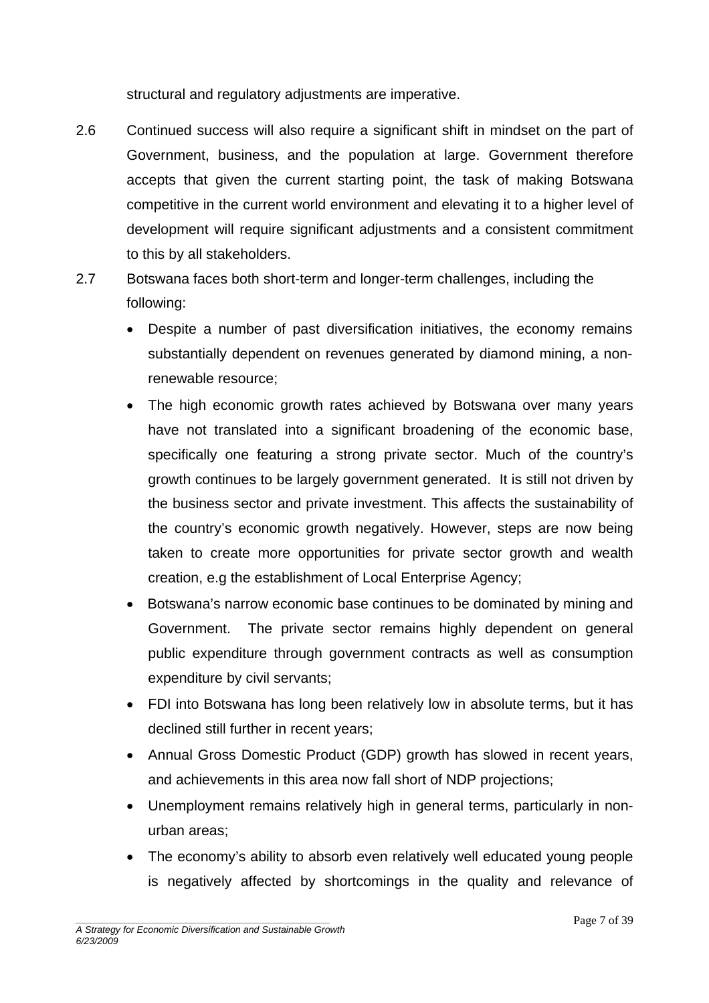structural and regulatory adjustments are imperative.

- 2.6 Continued success will also require a significant shift in mindset on the part of Government, business, and the population at large. Government therefore accepts that given the current starting point, the task of making Botswana competitive in the current world environment and elevating it to a higher level of development will require significant adjustments and a consistent commitment to this by all stakeholders.
- 2.7 Botswana faces both short-term and longer-term challenges, including the following:
	- Despite a number of past diversification initiatives, the economy remains substantially dependent on revenues generated by diamond mining, a nonrenewable resource;
	- The high economic growth rates achieved by Botswana over many years have not translated into a significant broadening of the economic base, specifically one featuring a strong private sector. Much of the country's growth continues to be largely government generated. It is still not driven by the business sector and private investment. This affects the sustainability of the country's economic growth negatively. However, steps are now being taken to create more opportunities for private sector growth and wealth creation, e.g the establishment of Local Enterprise Agency;
	- Botswana's narrow economic base continues to be dominated by mining and Government. The private sector remains highly dependent on general public expenditure through government contracts as well as consumption expenditure by civil servants;
	- FDI into Botswana has long been relatively low in absolute terms, but it has declined still further in recent years;
	- Annual Gross Domestic Product (GDP) growth has slowed in recent years, and achievements in this area now fall short of NDP projections;
	- Unemployment remains relatively high in general terms, particularly in nonurban areas;
	- The economy's ability to absorb even relatively well educated young people is negatively affected by shortcomings in the quality and relevance of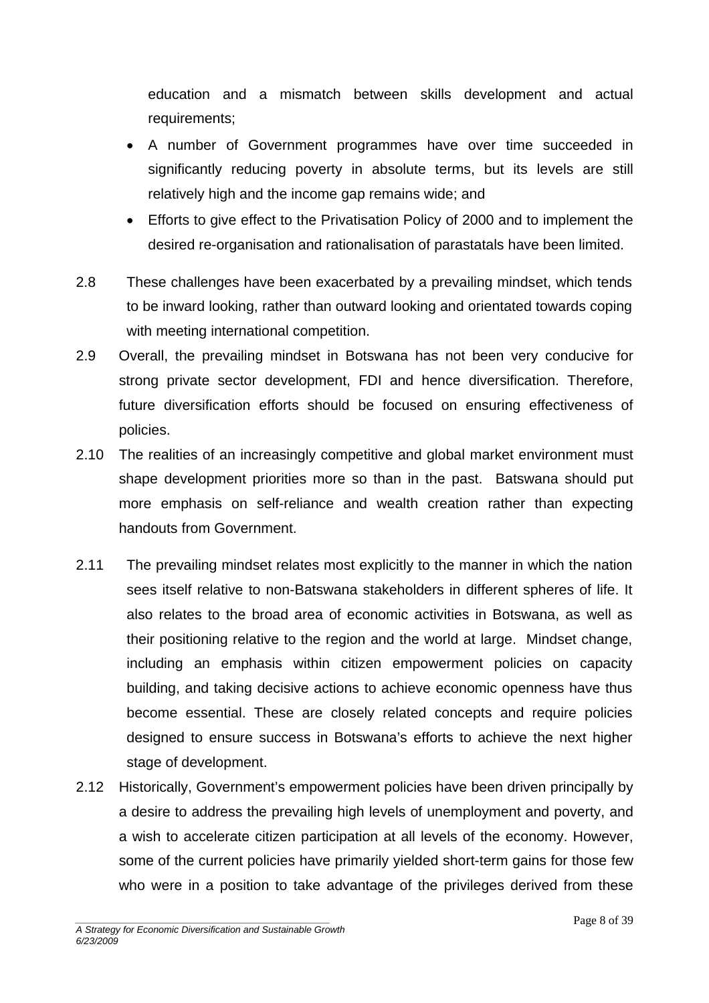education and a mismatch between skills development and actual requirements;

- A number of Government programmes have over time succeeded in significantly reducing poverty in absolute terms, but its levels are still relatively high and the income gap remains wide; and
- Efforts to give effect to the Privatisation Policy of 2000 and to implement the desired re-organisation and rationalisation of parastatals have been limited.
- 2.8 These challenges have been exacerbated by a prevailing mindset, which tends to be inward looking, rather than outward looking and orientated towards coping with meeting international competition.
- 2.9 Overall, the prevailing mindset in Botswana has not been very conducive for strong private sector development, FDI and hence diversification. Therefore, future diversification efforts should be focused on ensuring effectiveness of policies.
- 2.10 The realities of an increasingly competitive and global market environment must shape development priorities more so than in the past. Batswana should put more emphasis on self-reliance and wealth creation rather than expecting handouts from Government.
- 2.11 The prevailing mindset relates most explicitly to the manner in which the nation sees itself relative to non-Batswana stakeholders in different spheres of life. It also relates to the broad area of economic activities in Botswana, as well as their positioning relative to the region and the world at large. Mindset change, including an emphasis within citizen empowerment policies on capacity building, and taking decisive actions to achieve economic openness have thus become essential. These are closely related concepts and require policies designed to ensure success in Botswana's efforts to achieve the next higher stage of development.
- 2.12 Historically, Government's empowerment policies have been driven principally by a desire to address the prevailing high levels of unemployment and poverty, and a wish to accelerate citizen participation at all levels of the economy. However, some of the current policies have primarily yielded short-term gains for those few who were in a position to take advantage of the privileges derived from these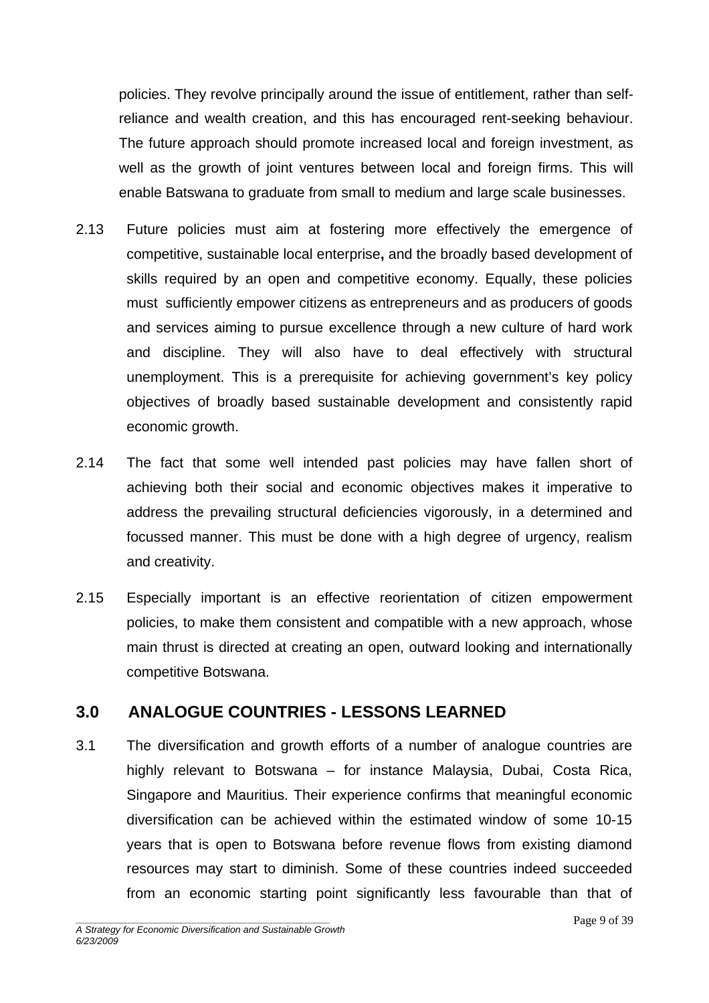<span id="page-8-0"></span>policies. They revolve principally around the issue of entitlement, rather than selfreliance and wealth creation, and this has encouraged rent-seeking behaviour. The future approach should promote increased local and foreign investment, as well as the growth of joint ventures between local and foreign firms. This will enable Batswana to graduate from small to medium and large scale businesses.

- 2.13 Future policies must aim at fostering more effectively the emergence of competitive, sustainable local enterprise**,** and the broadly based development of skills required by an open and competitive economy. Equally, these policies must sufficiently empower citizens as entrepreneurs and as producers of goods and services aiming to pursue excellence through a new culture of hard work and discipline. They will also have to deal effectively with structural unemployment. This is a prerequisite for achieving government's key policy objectives of broadly based sustainable development and consistently rapid economic growth.
- 2.14 The fact that some well intended past policies may have fallen short of achieving both their social and economic objectives makes it imperative to address the prevailing structural deficiencies vigorously, in a determined and focussed manner. This must be done with a high degree of urgency, realism and creativity.
- 2.15 Especially important is an effective reorientation of citizen empowerment policies, to make them consistent and compatible with a new approach, whose main thrust is directed at creating an open, outward looking and internationally competitive Botswana.

### **3.0 ANALOGUE COUNTRIES - LESSONS LEARNED**

3.1 The diversification and growth efforts of a number of analogue countries are highly relevant to Botswana – for instance Malaysia, Dubai, Costa Rica, Singapore and Mauritius. Their experience confirms that meaningful economic diversification can be achieved within the estimated window of some 10-15 years that is open to Botswana before revenue flows from existing diamond resources may start to diminish. Some of these countries indeed succeeded from an economic starting point significantly less favourable than that of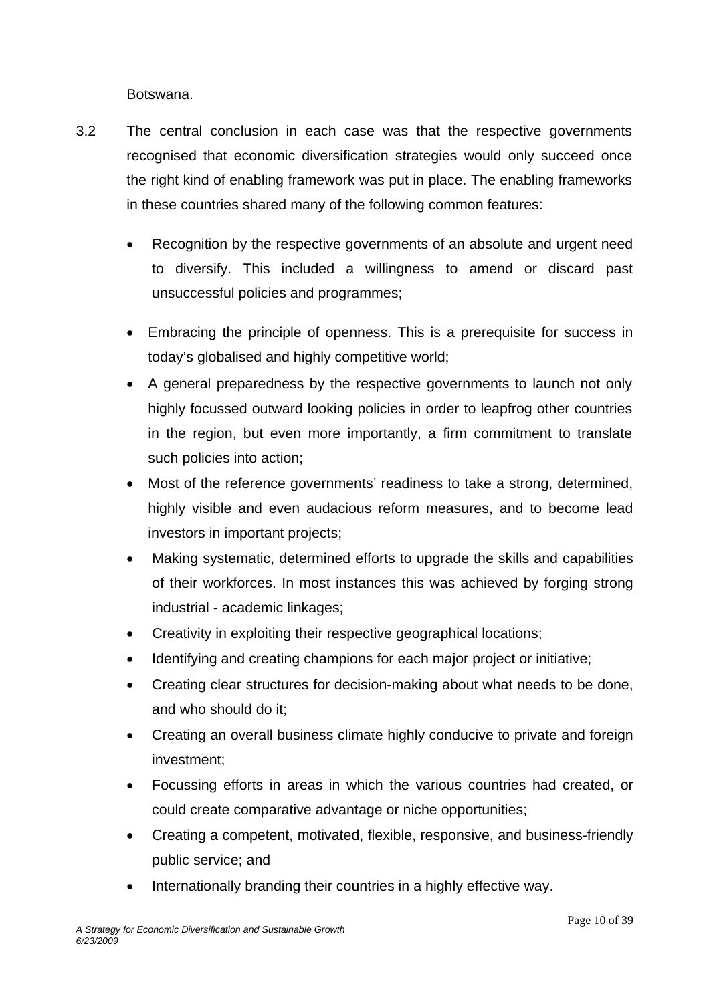Botswana.

- 3.2 The central conclusion in each case was that the respective governments recognised that economic diversification strategies would only succeed once the right kind of enabling framework was put in place. The enabling frameworks in these countries shared many of the following common features:
	- Recognition by the respective governments of an absolute and urgent need to diversify. This included a willingness to amend or discard past unsuccessful policies and programmes;
	- Embracing the principle of openness. This is a prerequisite for success in today's globalised and highly competitive world;
	- A general preparedness by the respective governments to launch not only highly focussed outward looking policies in order to leapfrog other countries in the region, but even more importantly, a firm commitment to translate such policies into action;
	- Most of the reference governments' readiness to take a strong, determined, highly visible and even audacious reform measures, and to become lead investors in important projects;
	- Making systematic, determined efforts to upgrade the skills and capabilities of their workforces. In most instances this was achieved by forging strong industrial - academic linkages;
	- Creativity in exploiting their respective geographical locations;
	- Identifying and creating champions for each major project or initiative;
	- Creating clear structures for decision-making about what needs to be done, and who should do it;
	- Creating an overall business climate highly conducive to private and foreign investment;
	- Focussing efforts in areas in which the various countries had created, or could create comparative advantage or niche opportunities;
	- Creating a competent, motivated, flexible, responsive, and business-friendly public service; and
	- Internationally branding their countries in a highly effective way.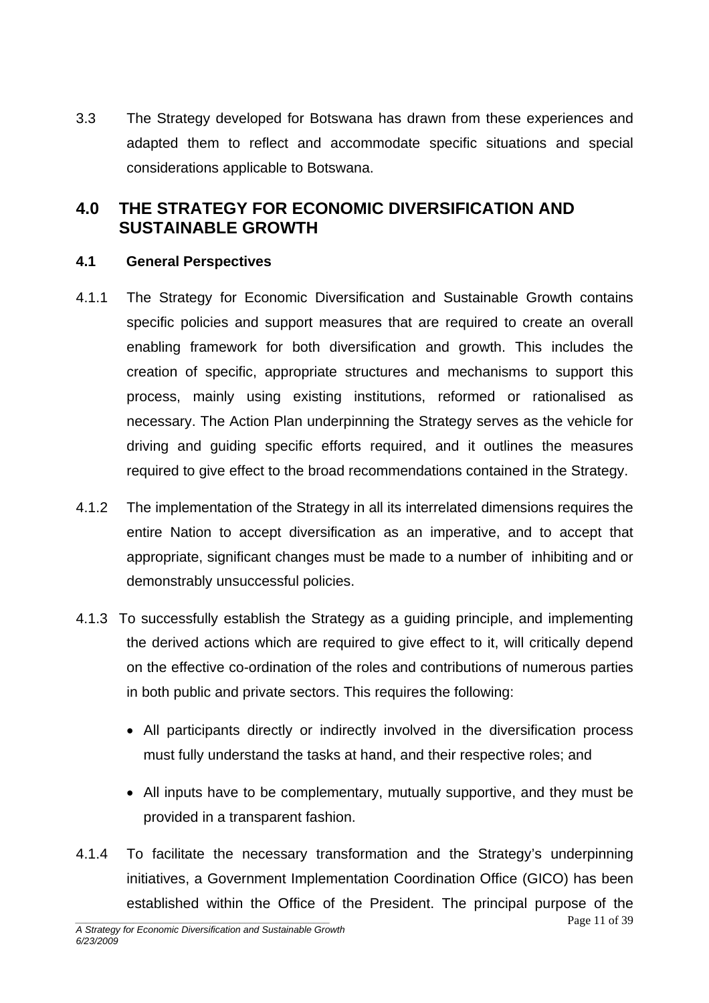<span id="page-10-0"></span>3.3 The Strategy developed for Botswana has drawn from these experiences and adapted them to reflect and accommodate specific situations and special considerations applicable to Botswana.

## **4.0 THE STRATEGY FOR ECONOMIC DIVERSIFICATION AND SUSTAINABLE GROWTH**

#### **4.1 General Perspectives**

- 4.1.1 The Strategy for Economic Diversification and Sustainable Growth contains specific policies and support measures that are required to create an overall enabling framework for both diversification and growth. This includes the creation of specific, appropriate structures and mechanisms to support this process, mainly using existing institutions, reformed or rationalised as necessary. The Action Plan underpinning the Strategy serves as the vehicle for driving and guiding specific efforts required, and it outlines the measures required to give effect to the broad recommendations contained in the Strategy.
- 4.1.2 The implementation of the Strategy in all its interrelated dimensions requires the entire Nation to accept diversification as an imperative, and to accept that appropriate, significant changes must be made to a number of inhibiting and or demonstrably unsuccessful policies.
- 4.1.3 To successfully establish the Strategy as a guiding principle, and implementing the derived actions which are required to give effect to it, will critically depend on the effective co-ordination of the roles and contributions of numerous parties in both public and private sectors. This requires the following:
	- All participants directly or indirectly involved in the diversification process must fully understand the tasks at hand, and their respective roles; and
	- All inputs have to be complementary, mutually supportive, and they must be provided in a transparent fashion.
- 4.1.4 To facilitate the necessary transformation and the Strategy's underpinning initiatives, a Government Implementation Coordination Office (GICO) has been established within the Office of the President. The principal purpose of the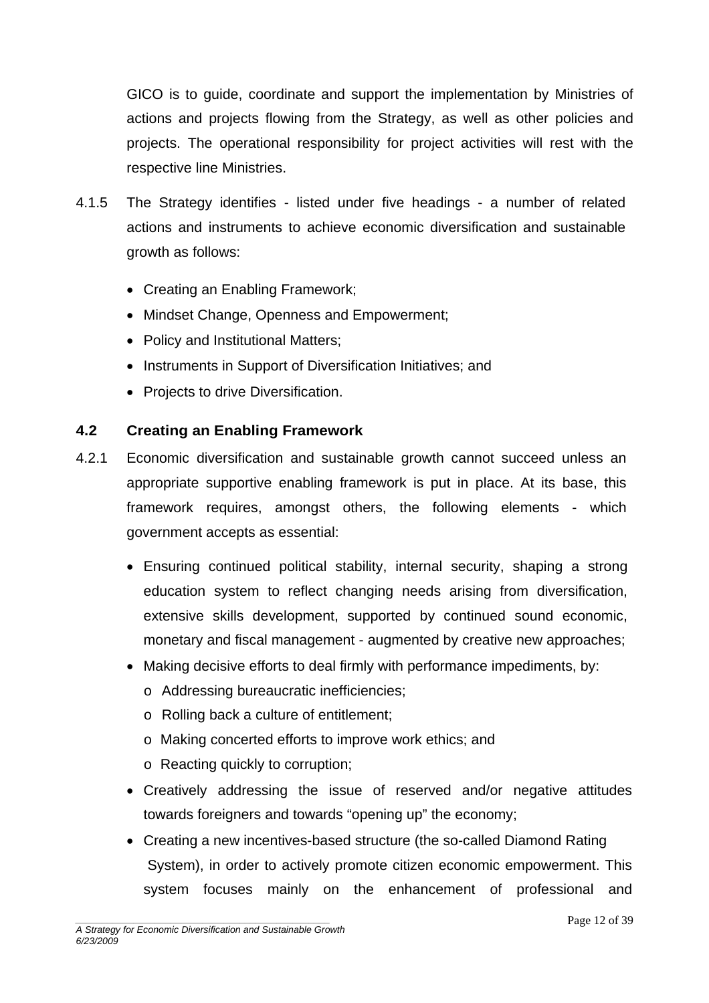GICO is to guide, coordinate and support the implementation by Ministries of actions and projects flowing from the Strategy, as well as other policies and projects. The operational responsibility for project activities will rest with the respective line Ministries.

- 4.1.5 The Strategy identifies listed under five headings a number of related actions and instruments to achieve economic diversification and sustainable growth as follows:
	- Creating an Enabling Framework;
	- Mindset Change, Openness and Empowerment;
	- Policy and Institutional Matters;
	- Instruments in Support of Diversification Initiatives; and
	- Projects to drive Diversification.

#### **4.2 Creating an Enabling Framework**

- 4.2.1 Economic diversification and sustainable growth cannot succeed unless an appropriate supportive enabling framework is put in place. At its base, this framework requires, amongst others, the following elements - which government accepts as essential:
	- Ensuring continued political stability, internal security, shaping a strong education system to reflect changing needs arising from diversification, extensive skills development, supported by continued sound economic, monetary and fiscal management - augmented by creative new approaches;
	- Making decisive efforts to deal firmly with performance impediments, by:
		- o Addressing bureaucratic inefficiencies;
		- o Rolling back a culture of entitlement;
		- o Making concerted efforts to improve work ethics; and
		- o Reacting quickly to corruption;
	- Creatively addressing the issue of reserved and/or negative attitudes towards foreigners and towards "opening up" the economy;
	- Creating a new incentives-based structure (the so-called Diamond Rating System), in order to actively promote citizen economic empowerment. This system focuses mainly on the enhancement of professional and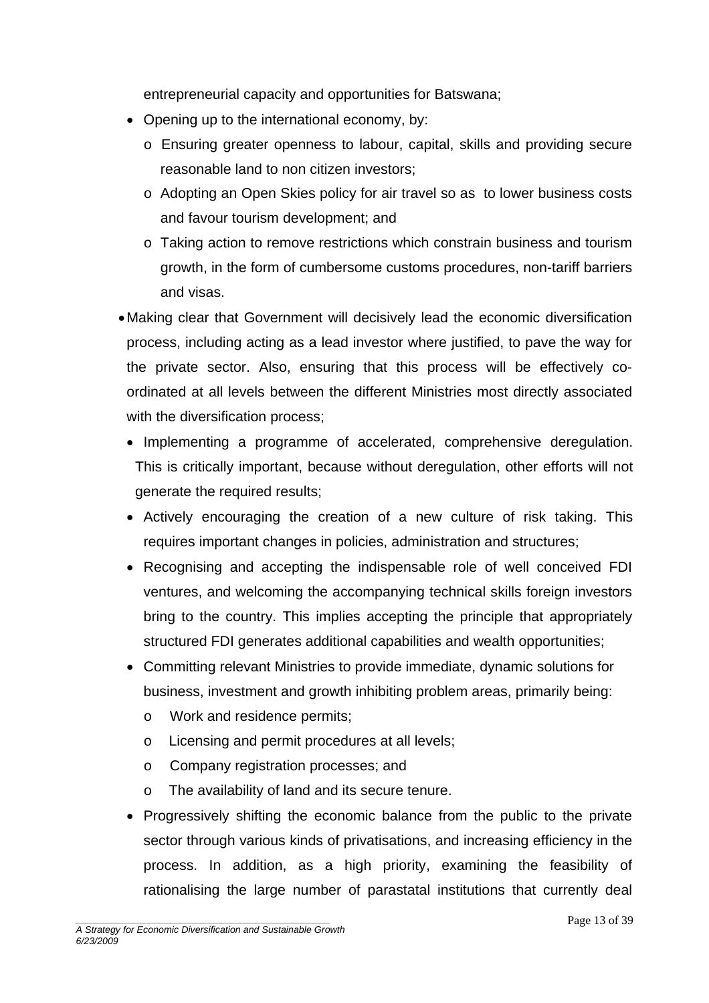entrepreneurial capacity and opportunities for Batswana;

- Opening up to the international economy, by:
	- o Ensuring greater openness to labour, capital, skills and providing secure reasonable land to non citizen investors;
	- o Adopting an Open Skies policy for air travel so as to lower business costs and favour tourism development; and
	- o Taking action to remove restrictions which constrain business and tourism growth, in the form of cumbersome customs procedures, non-tariff barriers and visas.
- Making clear that Government will decisively lead the economic diversification process, including acting as a lead investor where justified, to pave the way for the private sector. Also, ensuring that this process will be effectively coordinated at all levels between the different Ministries most directly associated with the diversification process;
	- Implementing a programme of accelerated, comprehensive deregulation. This is critically important, because without deregulation, other efforts will not generate the required results;
	- Actively encouraging the creation of a new culture of risk taking. This requires important changes in policies, administration and structures;
	- Recognising and accepting the indispensable role of well conceived FDI ventures, and welcoming the accompanying technical skills foreign investors bring to the country. This implies accepting the principle that appropriately structured FDI generates additional capabilities and wealth opportunities;
	- Committing relevant Ministries to provide immediate, dynamic solutions for business, investment and growth inhibiting problem areas, primarily being:
		- o Work and residence permits;
		- o Licensing and permit procedures at all levels;
		- o Company registration processes; and
		- o The availability of land and its secure tenure.
	- Progressively shifting the economic balance from the public to the private sector through various kinds of privatisations, and increasing efficiency in the process. In addition, as a high priority, examining the feasibility of rationalising the large number of parastatal institutions that currently deal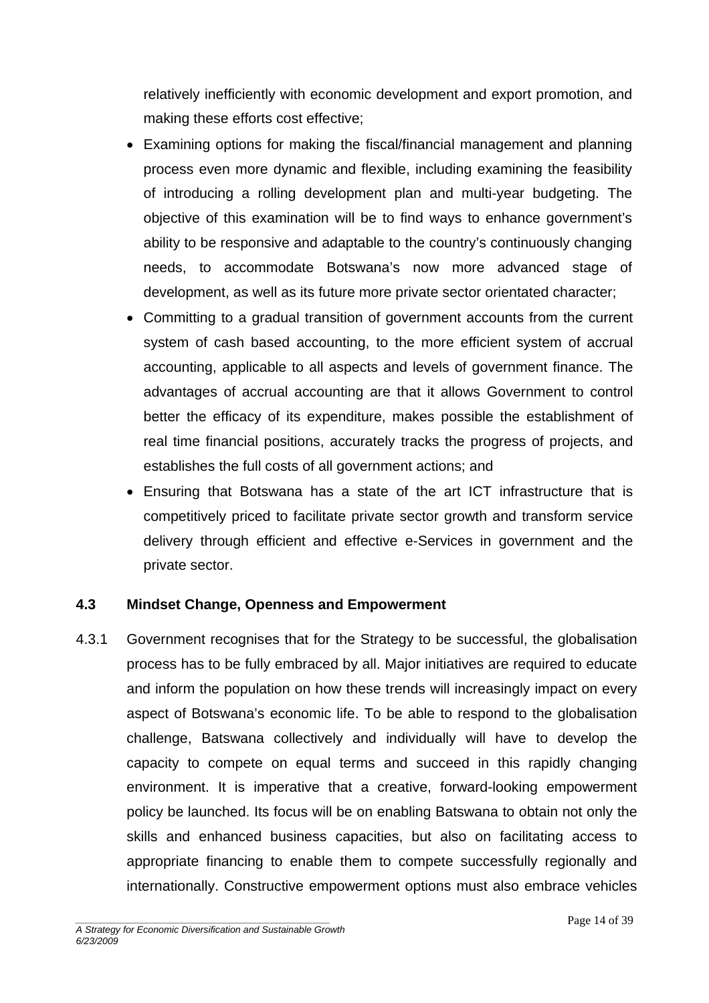relatively inefficiently with economic development and export promotion, and making these efforts cost effective;

- Examining options for making the fiscal/financial management and planning process even more dynamic and flexible, including examining the feasibility of introducing a rolling development plan and multi-year budgeting. The objective of this examination will be to find ways to enhance government's ability to be responsive and adaptable to the country's continuously changing needs, to accommodate Botswana's now more advanced stage of development, as well as its future more private sector orientated character;
- Committing to a gradual transition of government accounts from the current system of cash based accounting, to the more efficient system of accrual accounting, applicable to all aspects and levels of government finance. The advantages of accrual accounting are that it allows Government to control better the efficacy of its expenditure, makes possible the establishment of real time financial positions, accurately tracks the progress of projects, and establishes the full costs of all government actions; and
- Ensuring that Botswana has a state of the art ICT infrastructure that is competitively priced to facilitate private sector growth and transform service delivery through efficient and effective e-Services in government and the private sector.

### **4.3 Mindset Change, Openness and Empowerment**

4.3.1 Government recognises that for the Strategy to be successful, the globalisation process has to be fully embraced by all. Major initiatives are required to educate and inform the population on how these trends will increasingly impact on every aspect of Botswana's economic life. To be able to respond to the globalisation challenge, Batswana collectively and individually will have to develop the capacity to compete on equal terms and succeed in this rapidly changing environment. It is imperative that a creative, forward-looking empowerment policy be launched. Its focus will be on enabling Batswana to obtain not only the skills and enhanced business capacities, but also on facilitating access to appropriate financing to enable them to compete successfully regionally and internationally. Constructive empowerment options must also embrace vehicles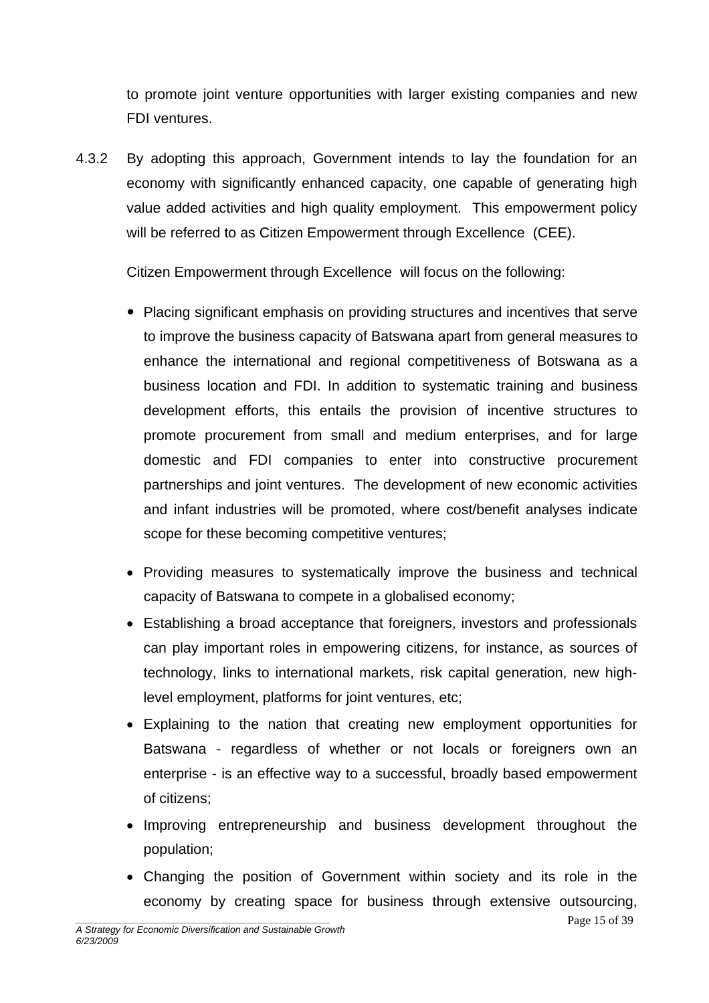to promote joint venture opportunities with larger existing companies and new FDI ventures.

4.3.2 By adopting this approach, Government intends to lay the foundation for an economy with significantly enhanced capacity, one capable of generating high value added activities and high quality employment. This empowerment policy will be referred to as Citizen Empowerment through Excellence (CEE).

Citizen Empowerment through Excellence will focus on the following:

- Placing significant emphasis on providing structures and incentives that serve to improve the business capacity of Batswana apart from general measures to enhance the international and regional competitiveness of Botswana as a business location and FDI. In addition to systematic training and business development efforts, this entails the provision of incentive structures to promote procurement from small and medium enterprises, and for large domestic and FDI companies to enter into constructive procurement partnerships and joint ventures. The development of new economic activities and infant industries will be promoted, where cost/benefit analyses indicate scope for these becoming competitive ventures;
- Providing measures to systematically improve the business and technical capacity of Batswana to compete in a globalised economy;
- Establishing a broad acceptance that foreigners, investors and professionals can play important roles in empowering citizens, for instance, as sources of technology, links to international markets, risk capital generation, new highlevel employment, platforms for joint ventures, etc;
- Explaining to the nation that creating new employment opportunities for Batswana - regardless of whether or not locals or foreigners own an enterprise - is an effective way to a successful, broadly based empowerment of citizens;
- Improving entrepreneurship and business development throughout the population;
- Changing the position of Government within society and its role in the economy by creating space for business through extensive outsourcing,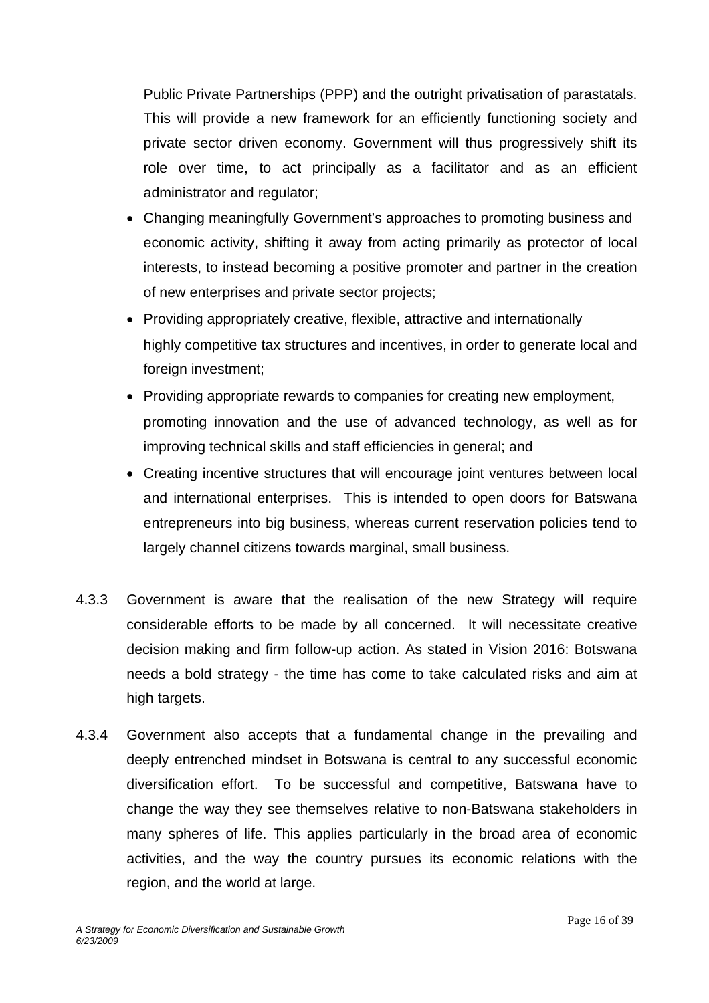Public Private Partnerships (PPP) and the outright privatisation of parastatals. This will provide a new framework for an efficiently functioning society and private sector driven economy. Government will thus progressively shift its role over time, to act principally as a facilitator and as an efficient administrator and regulator;

- Changing meaningfully Government's approaches to promoting business and economic activity, shifting it away from acting primarily as protector of local interests, to instead becoming a positive promoter and partner in the creation of new enterprises and private sector projects;
- Providing appropriately creative, flexible, attractive and internationally highly competitive tax structures and incentives, in order to generate local and foreign investment;
- Providing appropriate rewards to companies for creating new employment, promoting innovation and the use of advanced technology, as well as for improving technical skills and staff efficiencies in general; and
- Creating incentive structures that will encourage joint ventures between local and international enterprises. This is intended to open doors for Batswana entrepreneurs into big business, whereas current reservation policies tend to largely channel citizens towards marginal, small business.
- 4.3.3 Government is aware that the realisation of the new Strategy will require considerable efforts to be made by all concerned. It will necessitate creative decision making and firm follow-up action. As stated in Vision 2016: Botswana needs a bold strategy - the time has come to take calculated risks and aim at high targets.
- 4.3.4 Government also accepts that a fundamental change in the prevailing and deeply entrenched mindset in Botswana is central to any successful economic diversification effort. To be successful and competitive, Batswana have to change the way they see themselves relative to non-Batswana stakeholders in many spheres of life. This applies particularly in the broad area of economic activities, and the way the country pursues its economic relations with the region, and the world at large.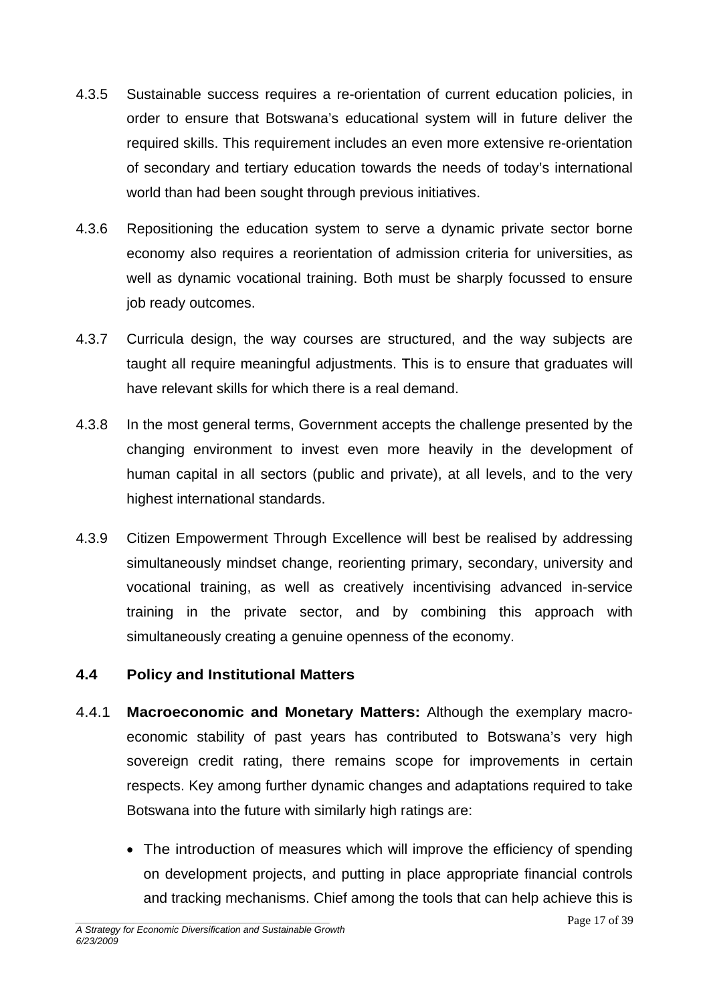- 4.3.5 Sustainable success requires a re-orientation of current education policies, in order to ensure that Botswana's educational system will in future deliver the required skills. This requirement includes an even more extensive re-orientation of secondary and tertiary education towards the needs of today's international world than had been sought through previous initiatives.
- 4.3.6 Repositioning the education system to serve a dynamic private sector borne economy also requires a reorientation of admission criteria for universities, as well as dynamic vocational training. Both must be sharply focussed to ensure job ready outcomes.
- 4.3.7 Curricula design, the way courses are structured, and the way subjects are taught all require meaningful adjustments. This is to ensure that graduates will have relevant skills for which there is a real demand.
- 4.3.8 In the most general terms, Government accepts the challenge presented by the changing environment to invest even more heavily in the development of human capital in all sectors (public and private), at all levels, and to the very highest international standards.
- 4.3.9 Citizen Empowerment Through Excellence will best be realised by addressing simultaneously mindset change, reorienting primary, secondary, university and vocational training, as well as creatively incentivising advanced in-service training in the private sector, and by combining this approach with simultaneously creating a genuine openness of the economy.

### **4.4 Policy and Institutional Matters**

- 4.4.1 **Macroeconomic and Monetary Matters:** Although the exemplary macroeconomic stability of past years has contributed to Botswana's very high sovereign credit rating, there remains scope for improvements in certain respects. Key among further dynamic changes and adaptations required to take Botswana into the future with similarly high ratings are:
	- The introduction of measures which will improve the efficiency of spending on development projects, and putting in place appropriate financial controls and tracking mechanisms. Chief among the tools that can help achieve this is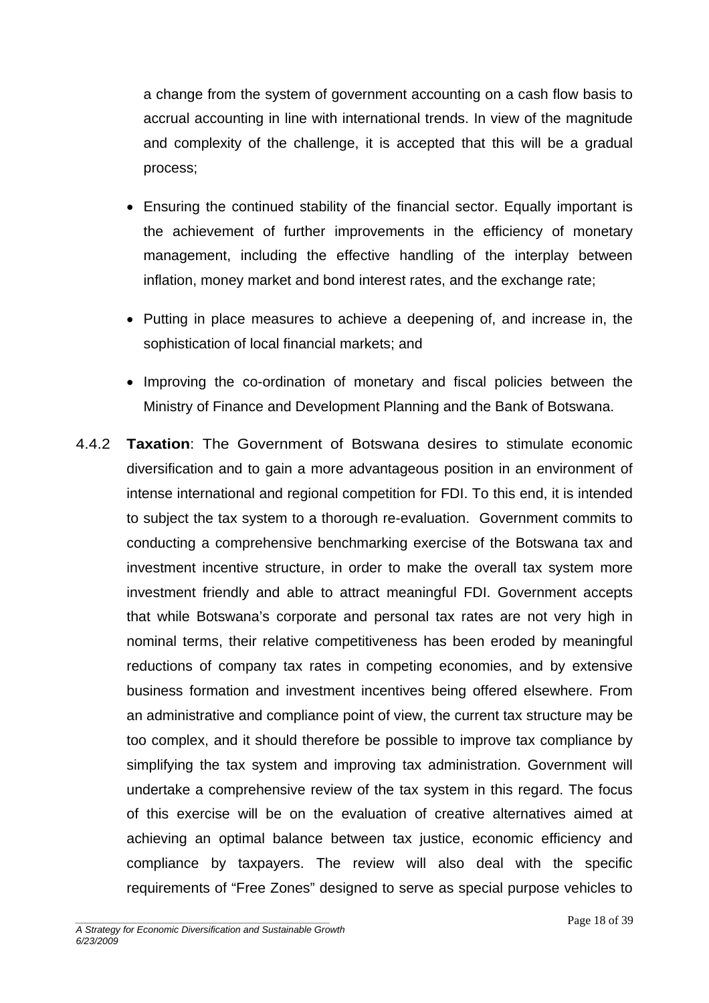a change from the system of government accounting on a cash flow basis to accrual accounting in line with international trends. In view of the magnitude and complexity of the challenge, it is accepted that this will be a gradual process;

- Ensuring the continued stability of the financial sector. Equally important is the achievement of further improvements in the efficiency of monetary management, including the effective handling of the interplay between inflation, money market and bond interest rates, and the exchange rate;
- Putting in place measures to achieve a deepening of, and increase in, the sophistication of local financial markets; and
- Improving the co-ordination of monetary and fiscal policies between the Ministry of Finance and Development Planning and the Bank of Botswana.
- 4.4.2 **Taxation**: The Government of Botswana desires to stimulate economic diversification and to gain a more advantageous position in an environment of intense international and regional competition for FDI. To this end, it is intended to subject the tax system to a thorough re-evaluation. Government commits to conducting a comprehensive benchmarking exercise of the Botswana tax and investment incentive structure, in order to make the overall tax system more investment friendly and able to attract meaningful FDI. Government accepts that while Botswana's corporate and personal tax rates are not very high in nominal terms, their relative competitiveness has been eroded by meaningful reductions of company tax rates in competing economies, and by extensive business formation and investment incentives being offered elsewhere. From an administrative and compliance point of view, the current tax structure may be too complex, and it should therefore be possible to improve tax compliance by simplifying the tax system and improving tax administration. Government will undertake a comprehensive review of the tax system in this regard. The focus of this exercise will be on the evaluation of creative alternatives aimed at achieving an optimal balance between tax justice, economic efficiency and compliance by taxpayers. The review will also deal with the specific requirements of "Free Zones" designed to serve as special purpose vehicles to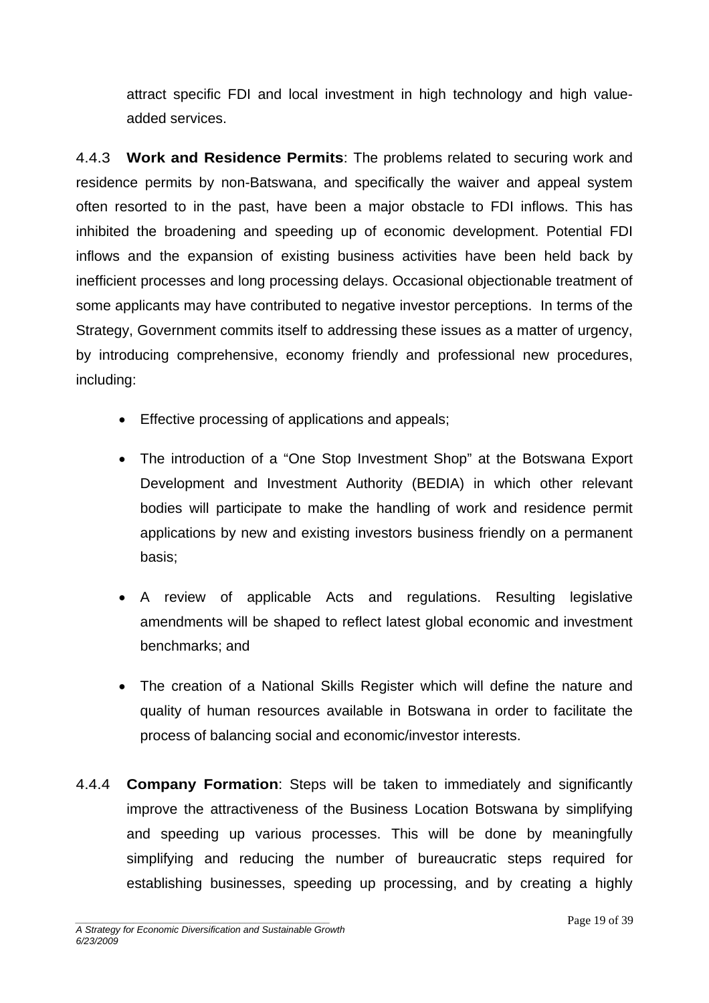attract specific FDI and local investment in high technology and high valueadded services.

4.4.3 **Work and Residence Permits**: The problems related to securing work and residence permits by non-Batswana, and specifically the waiver and appeal system often resorted to in the past, have been a major obstacle to FDI inflows. This has inhibited the broadening and speeding up of economic development. Potential FDI inflows and the expansion of existing business activities have been held back by inefficient processes and long processing delays. Occasional objectionable treatment of some applicants may have contributed to negative investor perceptions. In terms of the Strategy, Government commits itself to addressing these issues as a matter of urgency, by introducing comprehensive, economy friendly and professional new procedures, including:

- Effective processing of applications and appeals;
- The introduction of a "One Stop Investment Shop" at the Botswana Export Development and Investment Authority (BEDIA) in which other relevant bodies will participate to make the handling of work and residence permit applications by new and existing investors business friendly on a permanent basis;
- A review of applicable Acts and regulations. Resulting legislative amendments will be shaped to reflect latest global economic and investment benchmarks; and
- The creation of a National Skills Register which will define the nature and quality of human resources available in Botswana in order to facilitate the process of balancing social and economic/investor interests.
- 4.4.4 **Company Formation**: Steps will be taken to immediately and significantly improve the attractiveness of the Business Location Botswana by simplifying and speeding up various processes. This will be done by meaningfully simplifying and reducing the number of bureaucratic steps required for establishing businesses, speeding up processing, and by creating a highly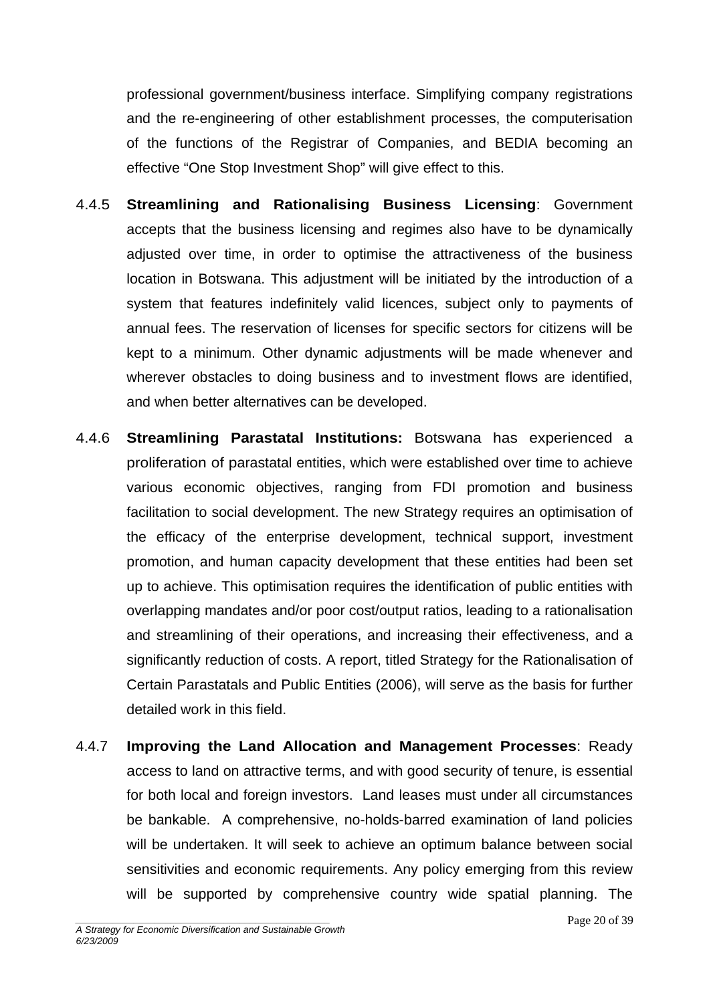professional government/business interface. Simplifying company registrations and the re-engineering of other establishment processes, the computerisation of the functions of the Registrar of Companies, and BEDIA becoming an effective "One Stop Investment Shop" will give effect to this.

- 4.4.5 **Streamlining and Rationalising Business Licensing**: Government accepts that the business licensing and regimes also have to be dynamically adjusted over time, in order to optimise the attractiveness of the business location in Botswana. This adjustment will be initiated by the introduction of a system that features indefinitely valid licences, subject only to payments of annual fees. The reservation of licenses for specific sectors for citizens will be kept to a minimum. Other dynamic adjustments will be made whenever and wherever obstacles to doing business and to investment flows are identified, and when better alternatives can be developed.
- 4.4.6 **Streamlining Parastatal Institutions:** Botswana has experienced a proliferation of parastatal entities, which were established over time to achieve various economic objectives, ranging from FDI promotion and business facilitation to social development. The new Strategy requires an optimisation of the efficacy of the enterprise development, technical support, investment promotion, and human capacity development that these entities had been set up to achieve. This optimisation requires the identification of public entities with overlapping mandates and/or poor cost/output ratios, leading to a rationalisation and streamlining of their operations, and increasing their effectiveness, and a significantly reduction of costs. A report, titled Strategy for the Rationalisation of Certain Parastatals and Public Entities (2006), will serve as the basis for further detailed work in this field.
- 4.4.7 **Improving the Land Allocation and Management Processes**: Ready access to land on attractive terms, and with good security of tenure, is essential for both local and foreign investors. Land leases must under all circumstances be bankable. A comprehensive, no-holds-barred examination of land policies will be undertaken. It will seek to achieve an optimum balance between social sensitivities and economic requirements. Any policy emerging from this review will be supported by comprehensive country wide spatial planning. The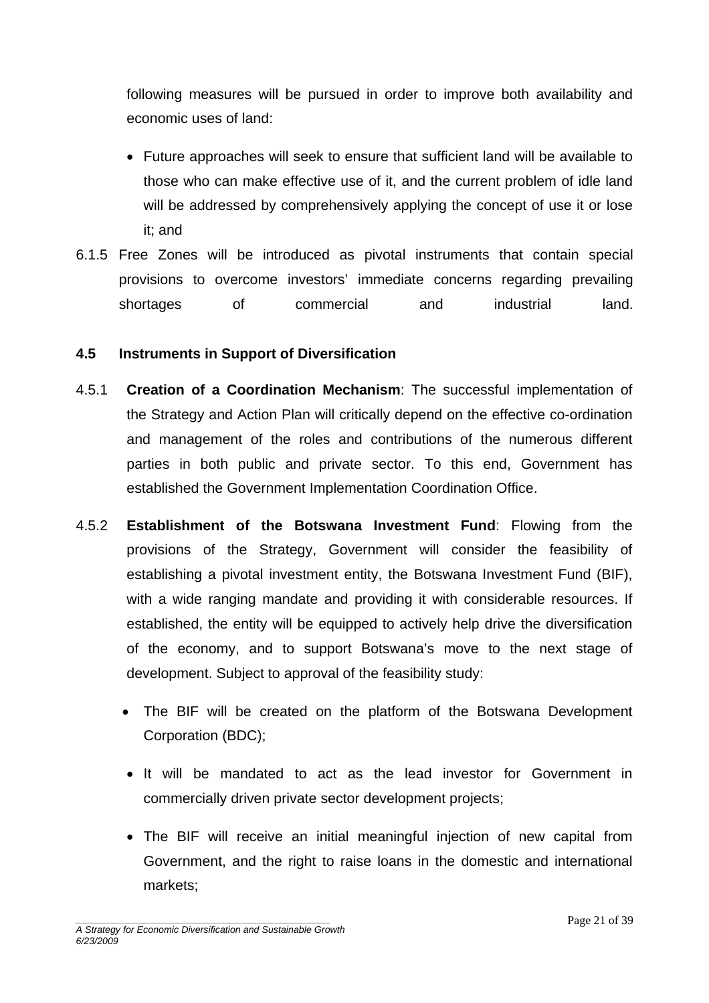following measures will be pursued in order to improve both availability and economic uses of land:

- Future approaches will seek to ensure that sufficient land will be available to those who can make effective use of it, and the current problem of idle land will be addressed by comprehensively applying the concept of use it or lose it; and
- 6.1.5 Free Zones will be introduced as pivotal instruments that contain special provisions to overcome investors' immediate concerns regarding prevailing shortages of commercial and industrial land.

#### **4.5 Instruments in Support of Diversification**

- 4.5.1 **Creation of a Coordination Mechanism**: The successful implementation of the Strategy and Action Plan will critically depend on the effective co-ordination and management of the roles and contributions of the numerous different parties in both public and private sector. To this end, Government has established the Government Implementation Coordination Office.
- 4.5.2 **Establishment of the Botswana Investment Fund**: Flowing from the provisions of the Strategy, Government will consider the feasibility of establishing a pivotal investment entity, the Botswana Investment Fund (BIF), with a wide ranging mandate and providing it with considerable resources. If established, the entity will be equipped to actively help drive the diversification of the economy, and to support Botswana's move to the next stage of development. Subject to approval of the feasibility study:
	- The BIF will be created on the platform of the Botswana Development Corporation (BDC);
	- It will be mandated to act as the lead investor for Government in commercially driven private sector development projects;
	- The BIF will receive an initial meaningful injection of new capital from Government, and the right to raise loans in the domestic and international markets;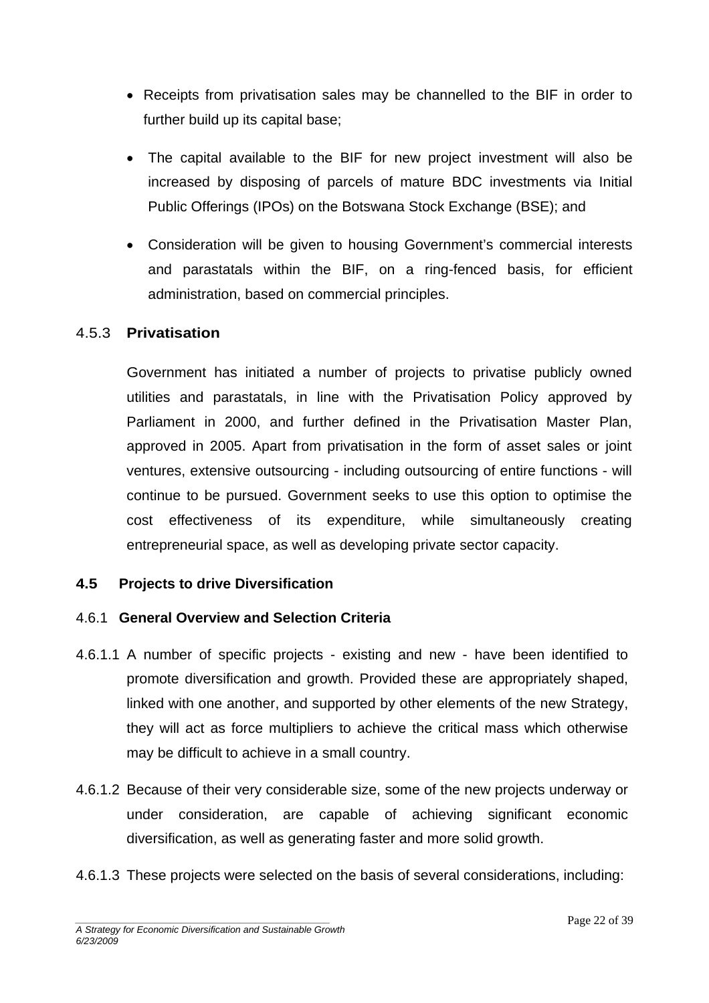- Receipts from privatisation sales may be channelled to the BIF in order to further build up its capital base;
- The capital available to the BIF for new project investment will also be increased by disposing of parcels of mature BDC investments via Initial Public Offerings (IPOs) on the Botswana Stock Exchange (BSE); and
- Consideration will be given to housing Government's commercial interests and parastatals within the BIF, on a ring-fenced basis, for efficient administration, based on commercial principles.

#### 4.5.3 **Privatisation**

 Government has initiated a number of projects to privatise publicly owned utilities and parastatals, in line with the Privatisation Policy approved by Parliament in 2000, and further defined in the Privatisation Master Plan, approved in 2005. Apart from privatisation in the form of asset sales or joint ventures, extensive outsourcing - including outsourcing of entire functions - will continue to be pursued. Government seeks to use this option to optimise the cost effectiveness of its expenditure, while simultaneously creating entrepreneurial space, as well as developing private sector capacity.

### **4.5 Projects to drive Diversification**

#### 4.6.1 **General Overview and Selection Criteria**

- 4.6.1.1 A number of specific projects existing and new have been identified to promote diversification and growth. Provided these are appropriately shaped, linked with one another, and supported by other elements of the new Strategy, they will act as force multipliers to achieve the critical mass which otherwise may be difficult to achieve in a small country.
- 4.6.1.2 Because of their very considerable size, some of the new projects underway or under consideration, are capable of achieving significant economic diversification, as well as generating faster and more solid growth.
- 4.6.1.3 These projects were selected on the basis of several considerations, including: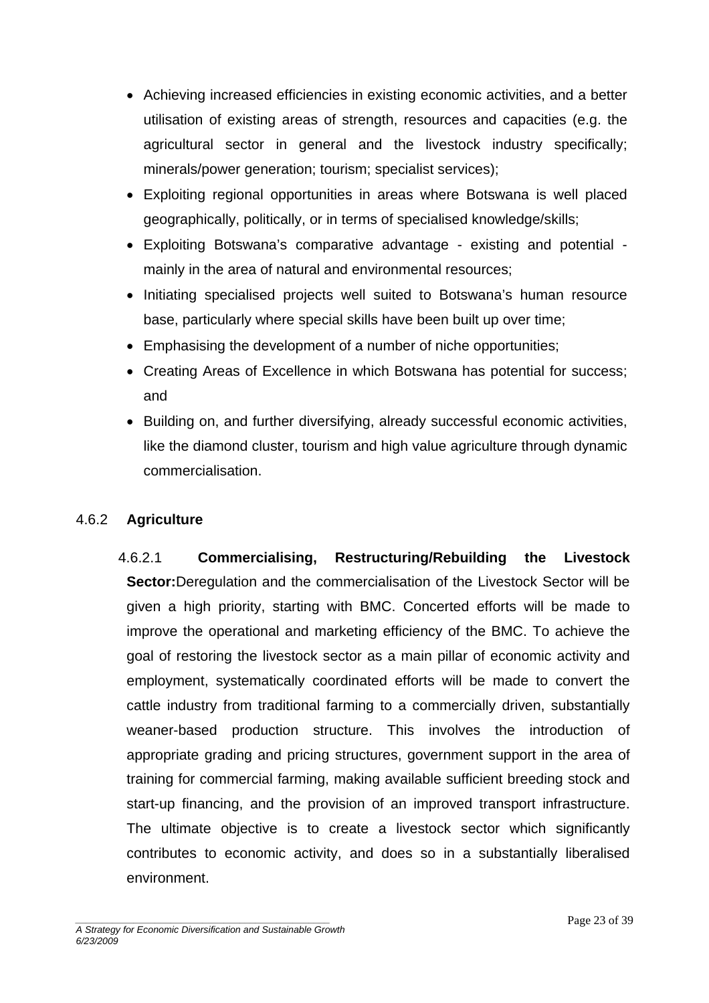- Achieving increased efficiencies in existing economic activities, and a better utilisation of existing areas of strength, resources and capacities (e.g. the agricultural sector in general and the livestock industry specifically; minerals/power generation; tourism; specialist services);
- Exploiting regional opportunities in areas where Botswana is well placed geographically, politically, or in terms of specialised knowledge/skills;
- Exploiting Botswana's comparative advantage existing and potential mainly in the area of natural and environmental resources;
- Initiating specialised projects well suited to Botswana's human resource base, particularly where special skills have been built up over time;
- Emphasising the development of a number of niche opportunities:
- Creating Areas of Excellence in which Botswana has potential for success; and
- Building on, and further diversifying, already successful economic activities, like the diamond cluster, tourism and high value agriculture through dynamic commercialisation.

#### 4.6.2 **Agriculture**

4.6.2.1 **Commercialising, Restructuring/Rebuilding the Livestock Sector:**Deregulation and the commercialisation of the Livestock Sector will be given a high priority, starting with BMC. Concerted efforts will be made to improve the operational and marketing efficiency of the BMC. To achieve the goal of restoring the livestock sector as a main pillar of economic activity and employment, systematically coordinated efforts will be made to convert the cattle industry from traditional farming to a commercially driven, substantially weaner-based production structure. This involves the introduction of appropriate grading and pricing structures, government support in the area of training for commercial farming, making available sufficient breeding stock and start-up financing, and the provision of an improved transport infrastructure. The ultimate objective is to create a livestock sector which significantly contributes to economic activity, and does so in a substantially liberalised environment.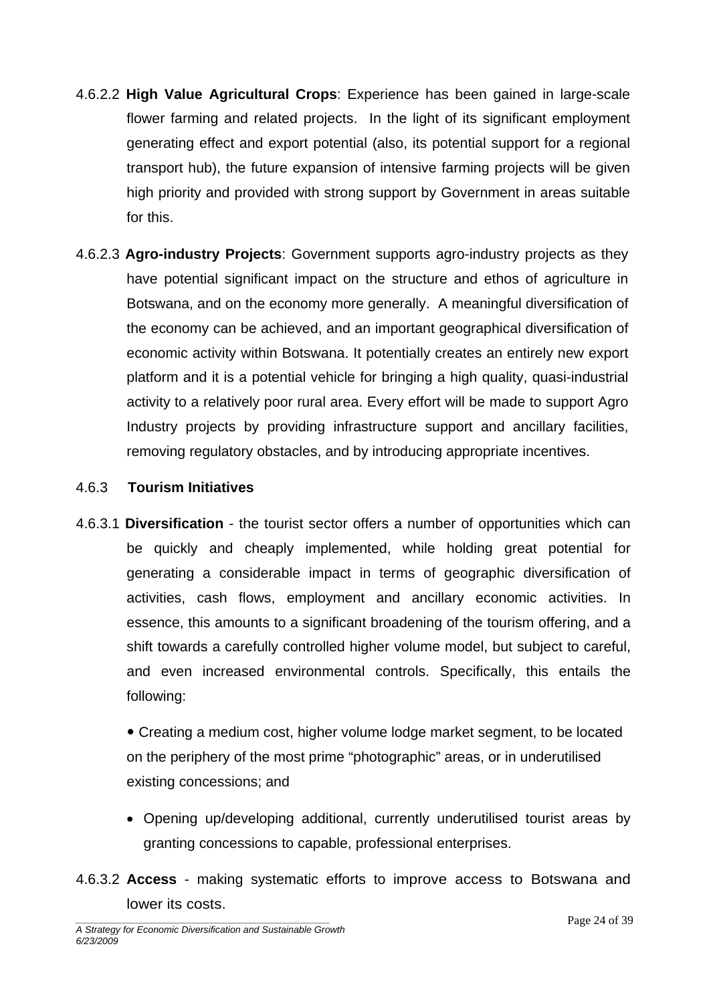- 4.6.2.2 **High Value Agricultural Crops**: Experience has been gained in large-scale flower farming and related projects. In the light of its significant employment generating effect and export potential (also, its potential support for a regional transport hub), the future expansion of intensive farming projects will be given high priority and provided with strong support by Government in areas suitable for this.
- 4.6.2.3 **Agro-industry Projects**: Government supports agro-industry projects as they have potential significant impact on the structure and ethos of agriculture in Botswana, and on the economy more generally. A meaningful diversification of the economy can be achieved, and an important geographical diversification of economic activity within Botswana. It potentially creates an entirely new export platform and it is a potential vehicle for bringing a high quality, quasi-industrial activity to a relatively poor rural area. Every effort will be made to support Agro Industry projects by providing infrastructure support and ancillary facilities, removing regulatory obstacles, and by introducing appropriate incentives.

#### 4.6.3 **Tourism Initiatives**

4.6.3.1 **Diversification** - the tourist sector offers a number of opportunities which can be quickly and cheaply implemented, while holding great potential for generating a considerable impact in terms of geographic diversification of activities, cash flows, employment and ancillary economic activities. In essence, this amounts to a significant broadening of the tourism offering, and a shift towards a carefully controlled higher volume model, but subject to careful, and even increased environmental controls. Specifically, this entails the following:

• Creating a medium cost, higher volume lodge market segment, to be located on the periphery of the most prime "photographic" areas, or in underutilised existing concessions; and

- Opening up/developing additional, currently underutilised tourist areas by granting concessions to capable, professional enterprises.
- 4.6.3.2 **Access** making systematic efforts to improve access to Botswana and lower its costs.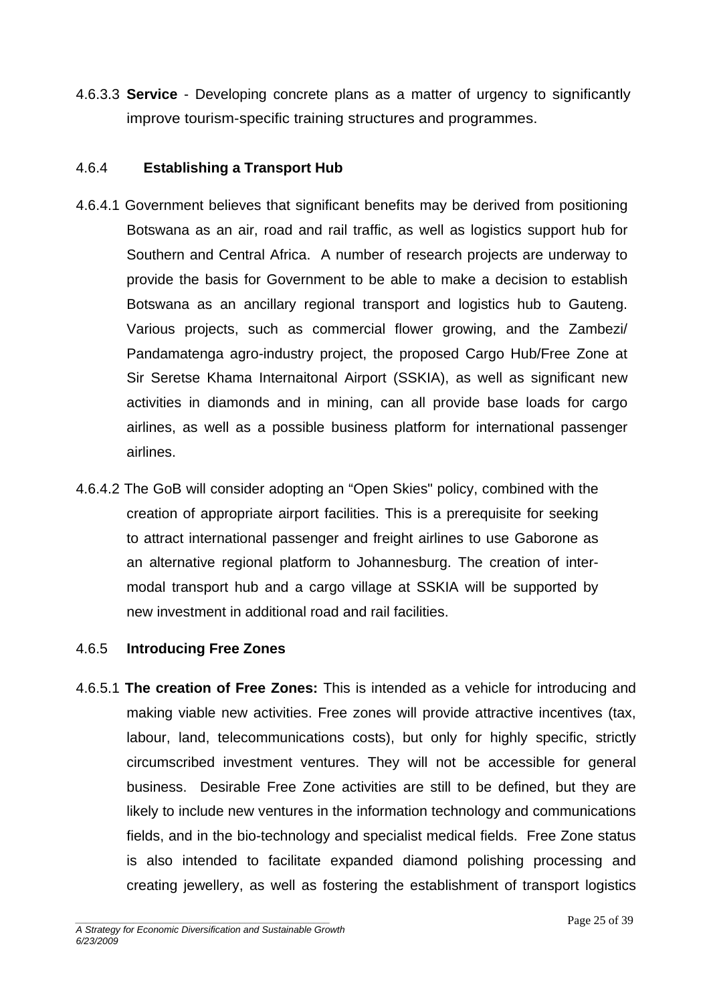4.6.3.3 **Service** - Developing concrete plans as a matter of urgency to significantly improve tourism-specific training structures and programmes.

#### 4.6.4 **Establishing a Transport Hub**

- 4.6.4.1 Government believes that significant benefits may be derived from positioning Botswana as an air, road and rail traffic, as well as logistics support hub for Southern and Central Africa. A number of research projects are underway to provide the basis for Government to be able to make a decision to establish Botswana as an ancillary regional transport and logistics hub to Gauteng. Various projects, such as commercial flower growing, and the Zambezi/ Pandamatenga agro-industry project, the proposed Cargo Hub/Free Zone at Sir Seretse Khama Internaitonal Airport (SSKIA), as well as significant new activities in diamonds and in mining, can all provide base loads for cargo airlines, as well as a possible business platform for international passenger airlines.
- 4.6.4.2 The GoB will consider adopting an "Open Skies" policy, combined with the creation of appropriate airport facilities. This is a prerequisite for seeking to attract international passenger and freight airlines to use Gaborone as an alternative regional platform to Johannesburg. The creation of intermodal transport hub and a cargo village at SSKIA will be supported by new investment in additional road and rail facilities.

#### 4.6.5 **Introducing Free Zones**

4.6.5.1 **The creation of Free Zones:** This is intended as a vehicle for introducing and making viable new activities. Free zones will provide attractive incentives (tax, labour, land, telecommunications costs), but only for highly specific, strictly circumscribed investment ventures. They will not be accessible for general business. Desirable Free Zone activities are still to be defined, but they are likely to include new ventures in the information technology and communications fields, and in the bio-technology and specialist medical fields. Free Zone status is also intended to facilitate expanded diamond polishing processing and creating jewellery, as well as fostering the establishment of transport logistics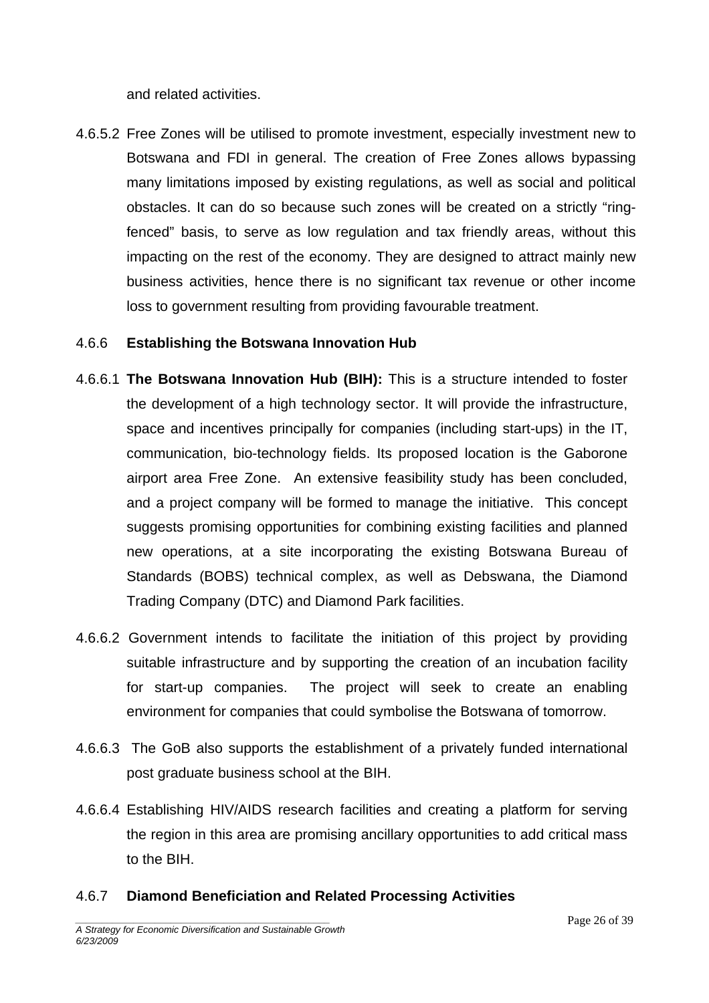and related activities.

4.6.5.2 Free Zones will be utilised to promote investment, especially investment new to Botswana and FDI in general. The creation of Free Zones allows bypassing many limitations imposed by existing regulations, as well as social and political obstacles. It can do so because such zones will be created on a strictly "ringfenced" basis, to serve as low regulation and tax friendly areas, without this impacting on the rest of the economy. They are designed to attract mainly new business activities, hence there is no significant tax revenue or other income loss to government resulting from providing favourable treatment.

#### 4.6.6 **Establishing the Botswana Innovation Hub**

- 4.6.6.1 **The Botswana Innovation Hub (BIH):** This is a structure intended to foster the development of a high technology sector. It will provide the infrastructure, space and incentives principally for companies (including start-ups) in the IT, communication, bio-technology fields. Its proposed location is the Gaborone airport area Free Zone. An extensive feasibility study has been concluded, and a project company will be formed to manage the initiative. This concept suggests promising opportunities for combining existing facilities and planned new operations, at a site incorporating the existing Botswana Bureau of Standards (BOBS) technical complex, as well as Debswana, the Diamond Trading Company (DTC) and Diamond Park facilities.
- 4.6.6.2 Government intends to facilitate the initiation of this project by providing suitable infrastructure and by supporting the creation of an incubation facility for start-up companies. The project will seek to create an enabling environment for companies that could symbolise the Botswana of tomorrow.
- 4.6.6.3 The GoB also supports the establishment of a privately funded international post graduate business school at the BIH.
- 4.6.6.4 Establishing HIV/AIDS research facilities and creating a platform for serving the region in this area are promising ancillary opportunities to add critical mass to the BIH.

#### 4.6.7 **Diamond Beneficiation and Related Processing Activities**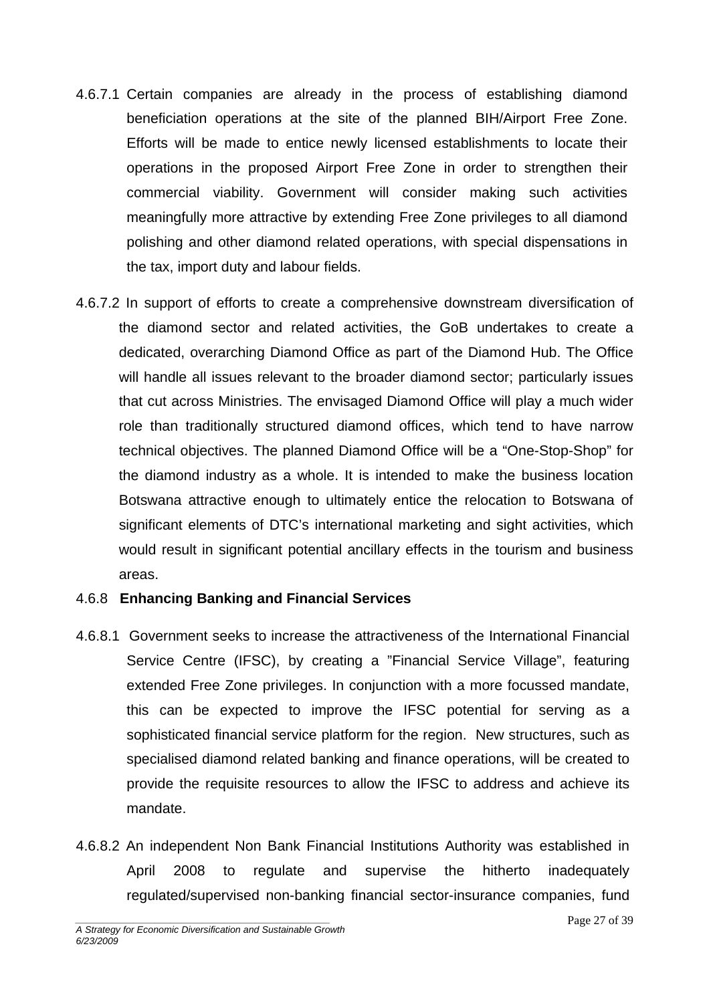- 4.6.7.1 Certain companies are already in the process of establishing diamond beneficiation operations at the site of the planned BIH/Airport Free Zone. Efforts will be made to entice newly licensed establishments to locate their operations in the proposed Airport Free Zone in order to strengthen their commercial viability. Government will consider making such activities meaningfully more attractive by extending Free Zone privileges to all diamond polishing and other diamond related operations, with special dispensations in the tax, import duty and labour fields.
- 4.6.7.2 In support of efforts to create a comprehensive downstream diversification of the diamond sector and related activities, the GoB undertakes to create a dedicated, overarching Diamond Office as part of the Diamond Hub. The Office will handle all issues relevant to the broader diamond sector; particularly issues that cut across Ministries. The envisaged Diamond Office will play a much wider role than traditionally structured diamond offices, which tend to have narrow technical objectives. The planned Diamond Office will be a "One-Stop-Shop" for the diamond industry as a whole. It is intended to make the business location Botswana attractive enough to ultimately entice the relocation to Botswana of significant elements of DTC's international marketing and sight activities, which would result in significant potential ancillary effects in the tourism and business areas.

#### 4.6.8 **Enhancing Banking and Financial Services**

- 4.6.8.1 Government seeks to increase the attractiveness of the International Financial Service Centre (IFSC), by creating a "Financial Service Village", featuring extended Free Zone privileges. In conjunction with a more focussed mandate, this can be expected to improve the IFSC potential for serving as a sophisticated financial service platform for the region. New structures, such as specialised diamond related banking and finance operations, will be created to provide the requisite resources to allow the IFSC to address and achieve its mandate.
- 4.6.8.2 An independent Non Bank Financial Institutions Authority was established in April 2008 to regulate and supervise the hitherto inadequately regulated/supervised non-banking financial sector-insurance companies, fund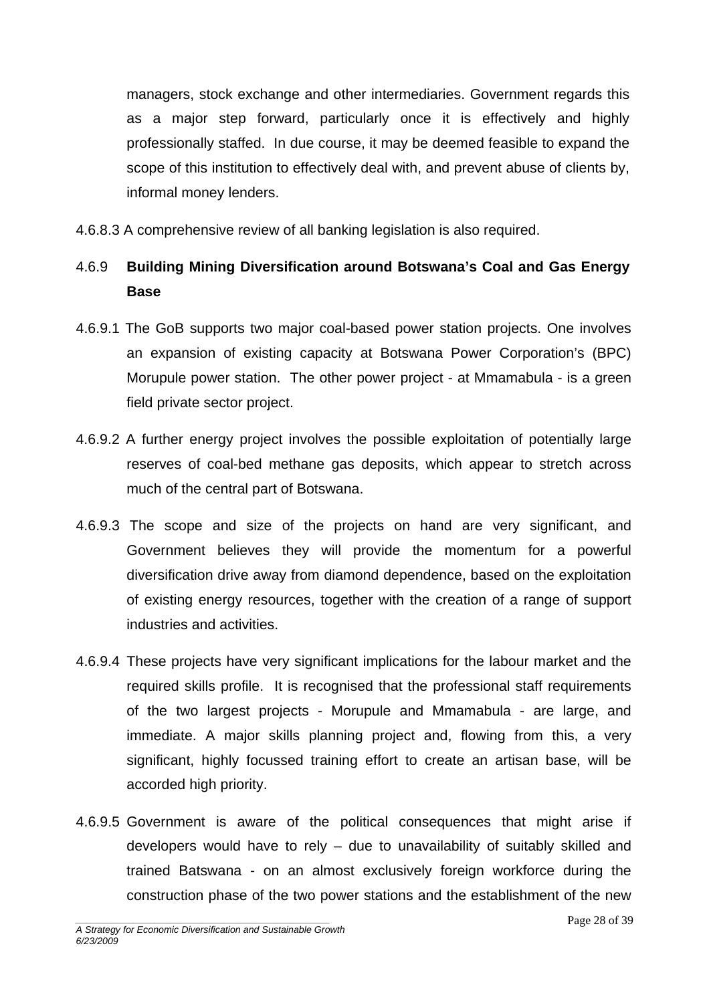managers, stock exchange and other intermediaries. Government regards this as a major step forward, particularly once it is effectively and highly professionally staffed. In due course, it may be deemed feasible to expand the scope of this institution to effectively deal with, and prevent abuse of clients by, informal money lenders.

4.6.8.3 A comprehensive review of all banking legislation is also required.

# 4.6.9 **Building Mining Diversification around Botswana's Coal and Gas Energy Base**

- 4.6.9.1 The GoB supports two major coal-based power station projects. One involves an expansion of existing capacity at Botswana Power Corporation's (BPC) Morupule power station. The other power project - at Mmamabula - is a green field private sector project.
- 4.6.9.2 A further energy project involves the possible exploitation of potentially large reserves of coal-bed methane gas deposits, which appear to stretch across much of the central part of Botswana.
- 4.6.9.3 The scope and size of the projects on hand are very significant, and Government believes they will provide the momentum for a powerful diversification drive away from diamond dependence, based on the exploitation of existing energy resources, together with the creation of a range of support industries and activities.
- 4.6.9.4 These projects have very significant implications for the labour market and the required skills profile. It is recognised that the professional staff requirements of the two largest projects - Morupule and Mmamabula - are large, and immediate. A major skills planning project and, flowing from this, a very significant, highly focussed training effort to create an artisan base, will be accorded high priority.
- 4.6.9.5 Government is aware of the political consequences that might arise if developers would have to rely – due to unavailability of suitably skilled and trained Batswana - on an almost exclusively foreign workforce during the construction phase of the two power stations and the establishment of the new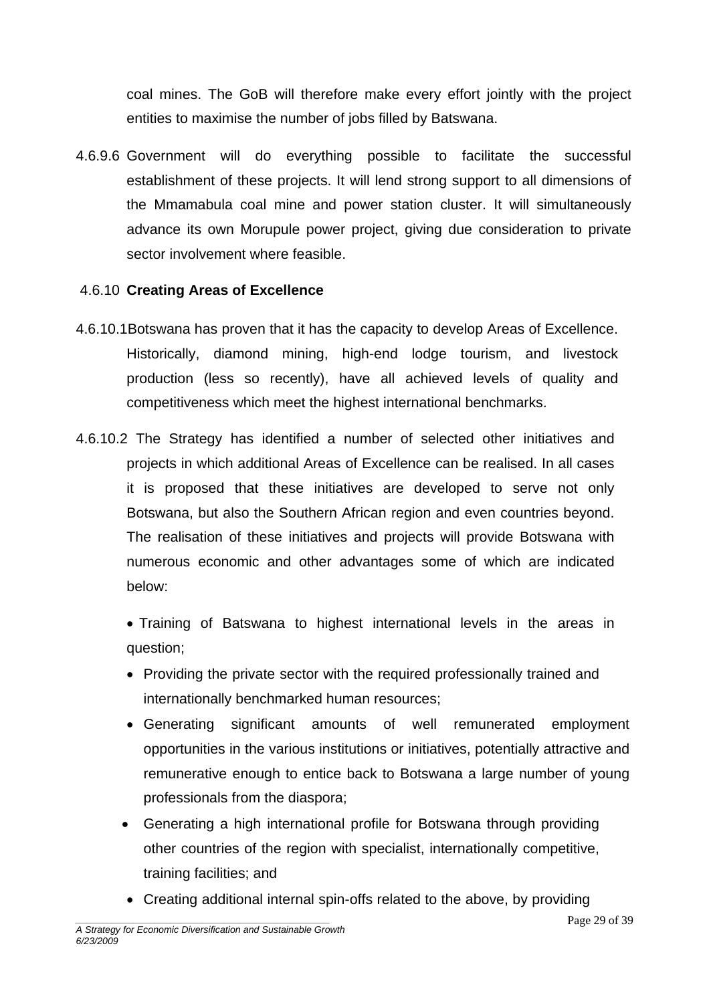coal mines. The GoB will therefore make every effort jointly with the project entities to maximise the number of jobs filled by Batswana.

4.6.9.6 Government will do everything possible to facilitate the successful establishment of these projects. It will lend strong support to all dimensions of the Mmamabula coal mine and power station cluster. It will simultaneously advance its own Morupule power project, giving due consideration to private sector involvement where feasible.

#### 4.6.10 **Creating Areas of Excellence**

- 4.6.10.1Botswana has proven that it has the capacity to develop Areas of Excellence. Historically, diamond mining, high-end lodge tourism, and livestock production (less so recently), have all achieved levels of quality and competitiveness which meet the highest international benchmarks.
- 4.6.10.2 The Strategy has identified a number of selected other initiatives and projects in which additional Areas of Excellence can be realised. In all cases it is proposed that these initiatives are developed to serve not only Botswana, but also the Southern African region and even countries beyond. The realisation of these initiatives and projects will provide Botswana with numerous economic and other advantages some of which are indicated below:
	- Training of Batswana to highest international levels in the areas in question;
	- Providing the private sector with the required professionally trained and internationally benchmarked human resources;
	- Generating significant amounts of well remunerated employment opportunities in the various institutions or initiatives, potentially attractive and remunerative enough to entice back to Botswana a large number of young professionals from the diaspora;
	- Generating a high international profile for Botswana through providing other countries of the region with specialist, internationally competitive, training facilities; and
	- Creating additional internal spin-offs related to the above, by providing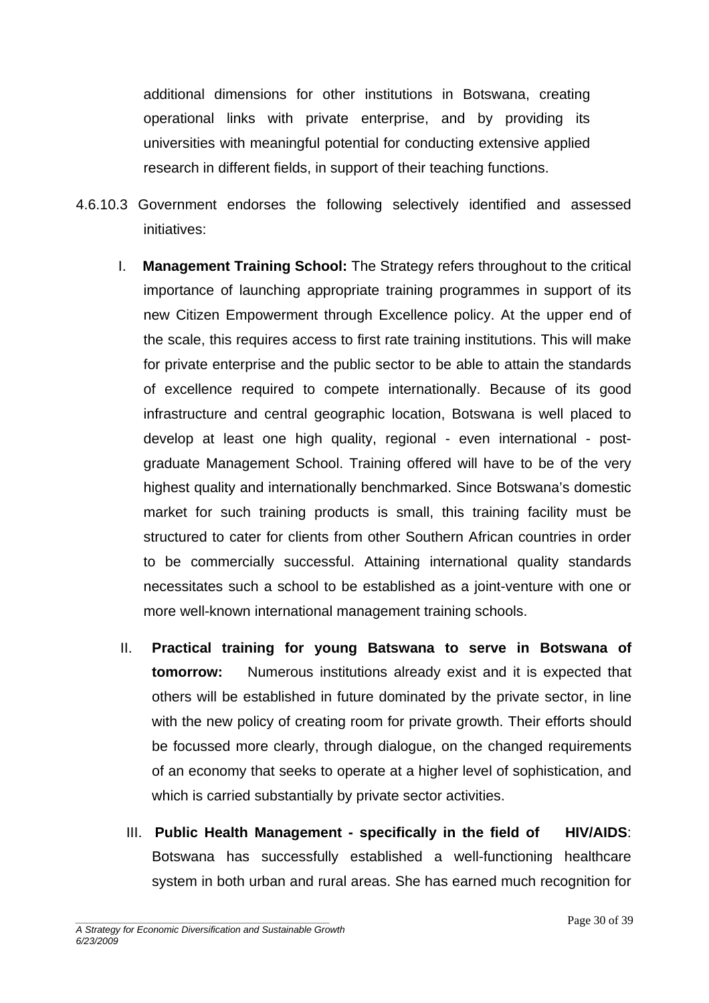additional dimensions for other institutions in Botswana, creating operational links with private enterprise, and by providing its universities with meaningful potential for conducting extensive applied research in different fields, in support of their teaching functions.

- 4.6.10.3 Government endorses the following selectively identified and assessed initiatives:
	- I. **Management Training School:** The Strategy refers throughout to the critical importance of launching appropriate training programmes in support of its new Citizen Empowerment through Excellence policy. At the upper end of the scale, this requires access to first rate training institutions. This will make for private enterprise and the public sector to be able to attain the standards of excellence required to compete internationally. Because of its good infrastructure and central geographic location, Botswana is well placed to develop at least one high quality, regional - even international - postgraduate Management School. Training offered will have to be of the very highest quality and internationally benchmarked. Since Botswana's domestic market for such training products is small, this training facility must be structured to cater for clients from other Southern African countries in order to be commercially successful. Attaining international quality standards necessitates such a school to be established as a joint-venture with one or more well-known international management training schools.
	- II. **Practical training for young Batswana to serve in Botswana of tomorrow:** Numerous institutions already exist and it is expected that others will be established in future dominated by the private sector, in line with the new policy of creating room for private growth. Their efforts should be focussed more clearly, through dialogue, on the changed requirements of an economy that seeks to operate at a higher level of sophistication, and which is carried substantially by private sector activities.
	- III. **Public Health Management specifically in the field of HIV/AIDS**: Botswana has successfully established a well-functioning healthcare system in both urban and rural areas. She has earned much recognition for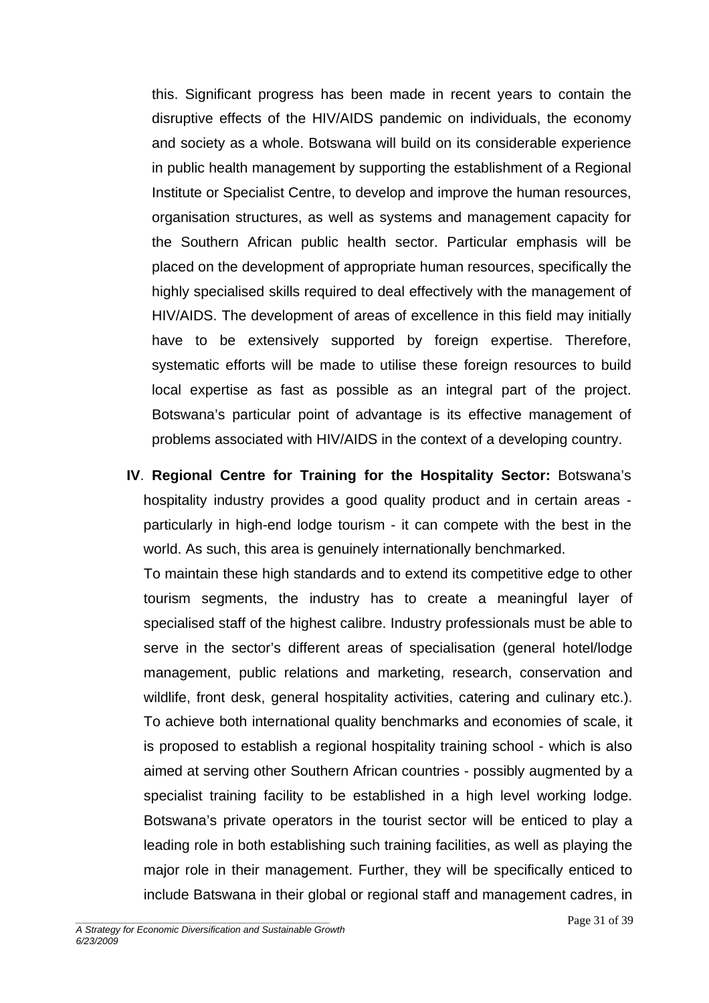this. Significant progress has been made in recent years to contain the disruptive effects of the HIV/AIDS pandemic on individuals, the economy and society as a whole. Botswana will build on its considerable experience in public health management by supporting the establishment of a Regional Institute or Specialist Centre, to develop and improve the human resources, organisation structures, as well as systems and management capacity for the Southern African public health sector. Particular emphasis will be placed on the development of appropriate human resources, specifically the highly specialised skills required to deal effectively with the management of HIV/AIDS. The development of areas of excellence in this field may initially have to be extensively supported by foreign expertise. Therefore, systematic efforts will be made to utilise these foreign resources to build local expertise as fast as possible as an integral part of the project. Botswana's particular point of advantage is its effective management of problems associated with HIV/AIDS in the context of a developing country.

**IV**. **Regional Centre for Training for the Hospitality Sector:** Botswana's hospitality industry provides a good quality product and in certain areas particularly in high-end lodge tourism - it can compete with the best in the world. As such, this area is genuinely internationally benchmarked.

To maintain these high standards and to extend its competitive edge to other tourism segments, the industry has to create a meaningful layer of specialised staff of the highest calibre. Industry professionals must be able to serve in the sector's different areas of specialisation (general hotel/lodge management, public relations and marketing, research, conservation and wildlife, front desk, general hospitality activities, catering and culinary etc.). To achieve both international quality benchmarks and economies of scale, it is proposed to establish a regional hospitality training school - which is also aimed at serving other Southern African countries - possibly augmented by a specialist training facility to be established in a high level working lodge. Botswana's private operators in the tourist sector will be enticed to play a leading role in both establishing such training facilities, as well as playing the major role in their management. Further, they will be specifically enticed to include Batswana in their global or regional staff and management cadres, in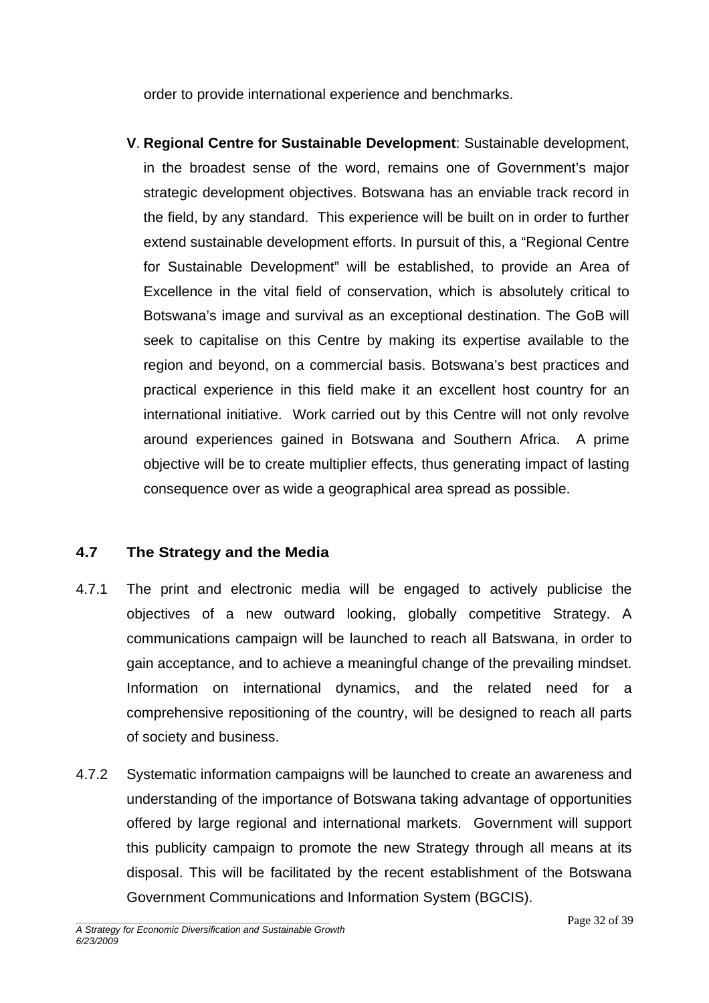order to provide international experience and benchmarks.

**V**. **Regional Centre for Sustainable Development**: Sustainable development, in the broadest sense of the word, remains one of Government's major strategic development objectives. Botswana has an enviable track record in the field, by any standard. This experience will be built on in order to further extend sustainable development efforts. In pursuit of this, a "Regional Centre for Sustainable Development" will be established, to provide an Area of Excellence in the vital field of conservation, which is absolutely critical to Botswana's image and survival as an exceptional destination. The GoB will seek to capitalise on this Centre by making its expertise available to the region and beyond, on a commercial basis. Botswana's best practices and practical experience in this field make it an excellent host country for an international initiative. Work carried out by this Centre will not only revolve around experiences gained in Botswana and Southern Africa. A prime objective will be to create multiplier effects, thus generating impact of lasting consequence over as wide a geographical area spread as possible.

### **4.7 The Strategy and the Media**

- 4.7.1 The print and electronic media will be engaged to actively publicise the objectives of a new outward looking, globally competitive Strategy. A communications campaign will be launched to reach all Batswana, in order to gain acceptance, and to achieve a meaningful change of the prevailing mindset. Information on international dynamics, and the related need for a comprehensive repositioning of the country, will be designed to reach all parts of society and business.
- 4.7.2 Systematic information campaigns will be launched to create an awareness and understanding of the importance of Botswana taking advantage of opportunities offered by large regional and international markets. Government will support this publicity campaign to promote the new Strategy through all means at its disposal. This will be facilitated by the recent establishment of the Botswana Government Communications and Information System (BGCIS).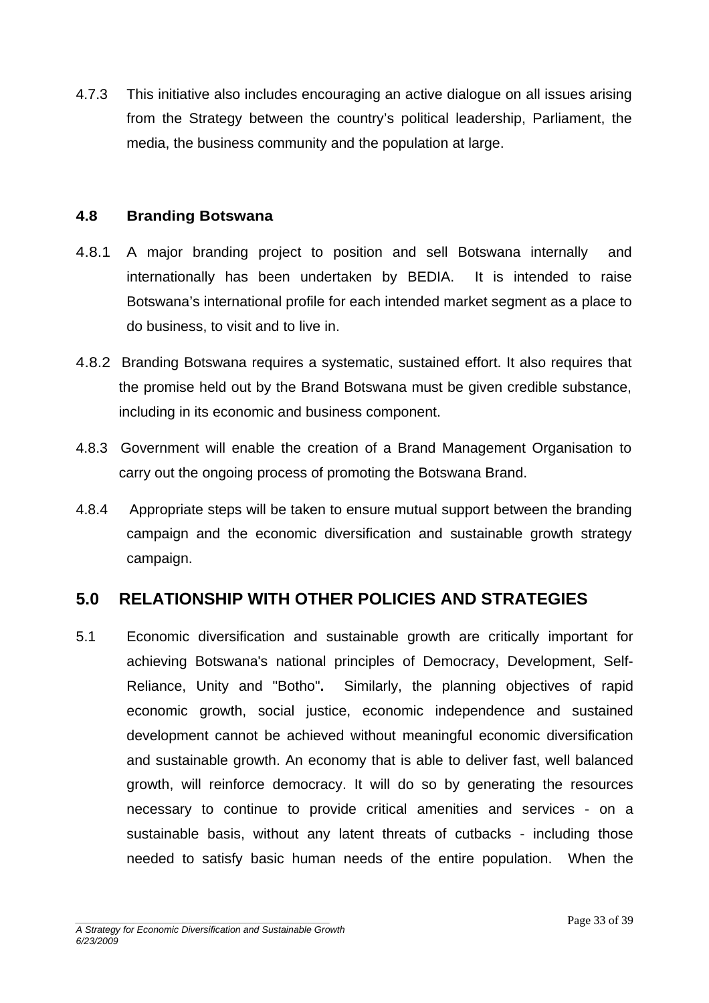<span id="page-32-0"></span>4.7.3 This initiative also includes encouraging an active dialogue on all issues arising from the Strategy between the country's political leadership, Parliament, the media, the business community and the population at large.

#### **4.8 Branding Botswana**

- 4.8.1 A major branding project to position and sell Botswana internally and internationally has been undertaken by BEDIA. It is intended to raise Botswana's international profile for each intended market segment as a place to do business, to visit and to live in.
- 4.8.2 Branding Botswana requires a systematic, sustained effort. It also requires that the promise held out by the Brand Botswana must be given credible substance, including in its economic and business component.
- 4.8.3 Government will enable the creation of a Brand Management Organisation to carry out the ongoing process of promoting the Botswana Brand.
- 4.8.4 Appropriate steps will be taken to ensure mutual support between the branding campaign and the economic diversification and sustainable growth strategy campaign.

### **5.0 RELATIONSHIP WITH OTHER POLICIES AND STRATEGIES**

5.1 Economic diversification and sustainable growth are critically important for achieving Botswana's national principles of Democracy, Development, Self-Reliance, Unity and "Botho"**.** Similarly, the planning objectives of rapid economic growth, social justice, economic independence and sustained development cannot be achieved without meaningful economic diversification and sustainable growth. An economy that is able to deliver fast, well balanced growth, will reinforce democracy. It will do so by generating the resources necessary to continue to provide critical amenities and services - on a sustainable basis, without any latent threats of cutbacks - including those needed to satisfy basic human needs of the entire population. When the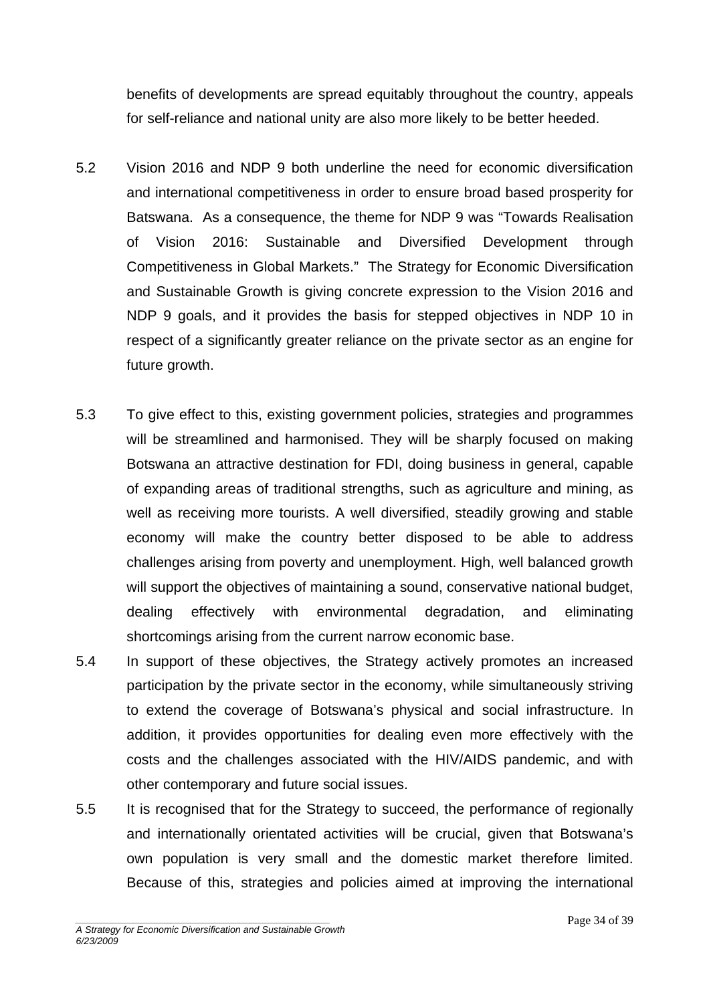benefits of developments are spread equitably throughout the country, appeals for self-reliance and national unity are also more likely to be better heeded.

- 5.2 Vision 2016 and NDP 9 both underline the need for economic diversification and international competitiveness in order to ensure broad based prosperity for Batswana. As a consequence, the theme for NDP 9 was "Towards Realisation of Vision 2016: Sustainable and Diversified Development through Competitiveness in Global Markets." The Strategy for Economic Diversification and Sustainable Growth is giving concrete expression to the Vision 2016 and NDP 9 goals, and it provides the basis for stepped objectives in NDP 10 in respect of a significantly greater reliance on the private sector as an engine for future growth.
- 5.3 To give effect to this, existing government policies, strategies and programmes will be streamlined and harmonised. They will be sharply focused on making Botswana an attractive destination for FDI, doing business in general, capable of expanding areas of traditional strengths, such as agriculture and mining, as well as receiving more tourists. A well diversified, steadily growing and stable economy will make the country better disposed to be able to address challenges arising from poverty and unemployment. High, well balanced growth will support the objectives of maintaining a sound, conservative national budget, dealing effectively with environmental degradation, and eliminating shortcomings arising from the current narrow economic base.
- 5.4 In support of these objectives, the Strategy actively promotes an increased participation by the private sector in the economy, while simultaneously striving to extend the coverage of Botswana's physical and social infrastructure. In addition, it provides opportunities for dealing even more effectively with the costs and the challenges associated with the HIV/AIDS pandemic, and with other contemporary and future social issues.
- 5.5 It is recognised that for the Strategy to succeed, the performance of regionally and internationally orientated activities will be crucial, given that Botswana's own population is very small and the domestic market therefore limited. Because of this, strategies and policies aimed at improving the international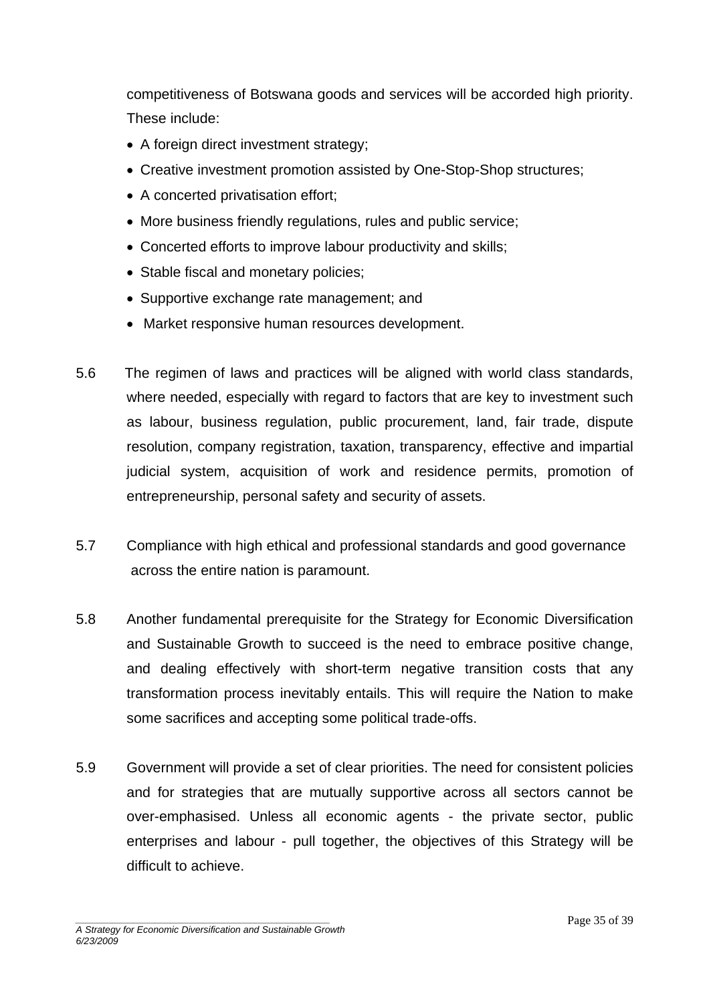competitiveness of Botswana goods and services will be accorded high priority. These include:

- A foreign direct investment strategy;
- Creative investment promotion assisted by One-Stop-Shop structures;
- A concerted privatisation effort;
- More business friendly regulations, rules and public service;
- Concerted efforts to improve labour productivity and skills;
- Stable fiscal and monetary policies;
- Supportive exchange rate management; and
- Market responsive human resources development.
- 5.6 The regimen of laws and practices will be aligned with world class standards, where needed, especially with regard to factors that are key to investment such as labour, business regulation, public procurement, land, fair trade, dispute resolution, company registration, taxation, transparency, effective and impartial judicial system, acquisition of work and residence permits, promotion of entrepreneurship, personal safety and security of assets.
- 5.7 Compliance with high ethical and professional standards and good governance across the entire nation is paramount.
- 5.8 Another fundamental prerequisite for the Strategy for Economic Diversification and Sustainable Growth to succeed is the need to embrace positive change, and dealing effectively with short-term negative transition costs that any transformation process inevitably entails. This will require the Nation to make some sacrifices and accepting some political trade-offs.
- 5.9 Government will provide a set of clear priorities. The need for consistent policies and for strategies that are mutually supportive across all sectors cannot be over-emphasised. Unless all economic agents - the private sector, public enterprises and labour - pull together, the objectives of this Strategy will be difficult to achieve.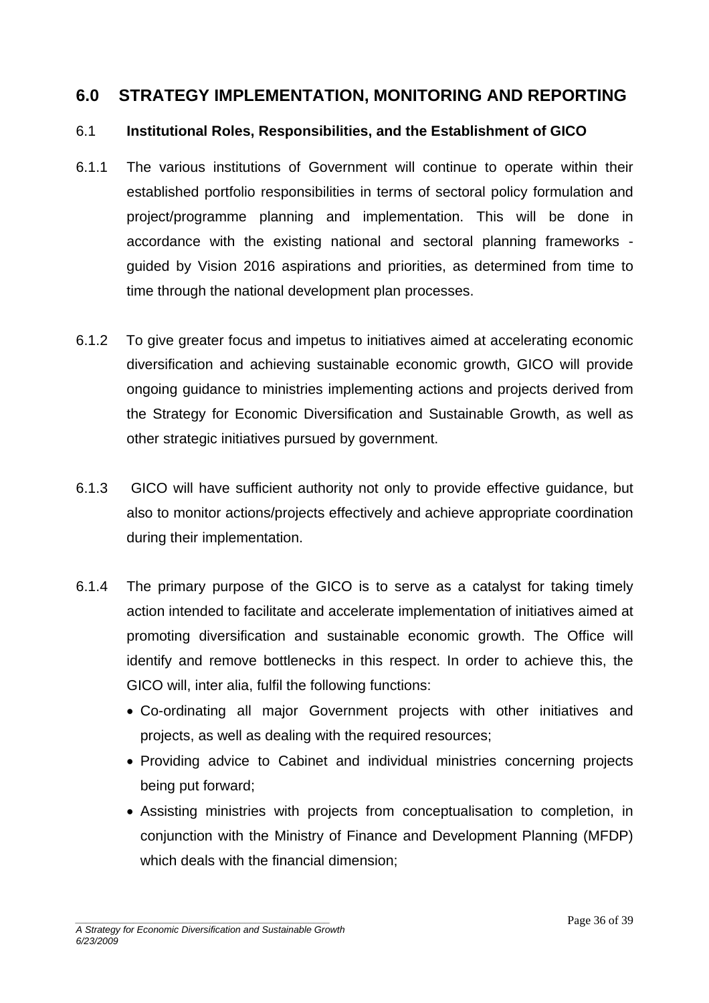### <span id="page-35-0"></span>**6.0 STRATEGY IMPLEMENTATION, MONITORING AND REPORTING**

#### 6.1 **Institutional Roles, Responsibilities, and the Establishment of GICO**

- 6.1.1 The various institutions of Government will continue to operate within their established portfolio responsibilities in terms of sectoral policy formulation and project/programme planning and implementation. This will be done in accordance with the existing national and sectoral planning frameworks guided by Vision 2016 aspirations and priorities, as determined from time to time through the national development plan processes.
- 6.1.2 To give greater focus and impetus to initiatives aimed at accelerating economic diversification and achieving sustainable economic growth, GICO will provide ongoing guidance to ministries implementing actions and projects derived from the Strategy for Economic Diversification and Sustainable Growth, as well as other strategic initiatives pursued by government.
- 6.1.3 GICO will have sufficient authority not only to provide effective guidance, but also to monitor actions/projects effectively and achieve appropriate coordination during their implementation.
- 6.1.4 The primary purpose of the GICO is to serve as a catalyst for taking timely action intended to facilitate and accelerate implementation of initiatives aimed at promoting diversification and sustainable economic growth. The Office will identify and remove bottlenecks in this respect. In order to achieve this, the GICO will, inter alia, fulfil the following functions:
	- Co-ordinating all major Government projects with other initiatives and projects, as well as dealing with the required resources;
	- Providing advice to Cabinet and individual ministries concerning projects being put forward;
	- Assisting ministries with projects from conceptualisation to completion, in conjunction with the Ministry of Finance and Development Planning (MFDP) which deals with the financial dimension;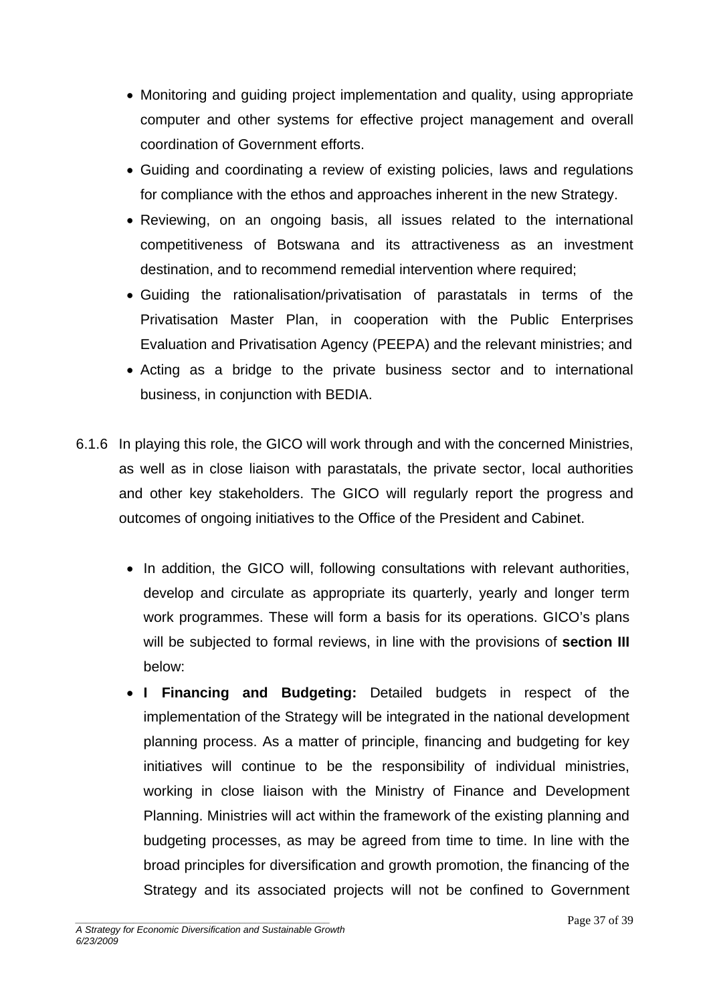- Monitoring and guiding project implementation and quality, using appropriate computer and other systems for effective project management and overall coordination of Government efforts.
- Guiding and coordinating a review of existing policies, laws and regulations for compliance with the ethos and approaches inherent in the new Strategy.
- Reviewing, on an ongoing basis, all issues related to the international competitiveness of Botswana and its attractiveness as an investment destination, and to recommend remedial intervention where required;
- Guiding the rationalisation/privatisation of parastatals in terms of the Privatisation Master Plan, in cooperation with the Public Enterprises Evaluation and Privatisation Agency (PEEPA) and the relevant ministries; and
- Acting as a bridge to the private business sector and to international business, in conjunction with BEDIA.
- 6.1.6 In playing this role, the GICO will work through and with the concerned Ministries, as well as in close liaison with parastatals, the private sector, local authorities and other key stakeholders. The GICO will regularly report the progress and outcomes of ongoing initiatives to the Office of the President and Cabinet.
	- In addition, the GICO will, following consultations with relevant authorities, develop and circulate as appropriate its quarterly, yearly and longer term work programmes. These will form a basis for its operations. GICO's plans will be subjected to formal reviews, in line with the provisions of **section III** below:
	- **I Financing and Budgeting:** Detailed budgets in respect of the implementation of the Strategy will be integrated in the national development planning process. As a matter of principle, financing and budgeting for key initiatives will continue to be the responsibility of individual ministries, working in close liaison with the Ministry of Finance and Development Planning. Ministries will act within the framework of the existing planning and budgeting processes, as may be agreed from time to time. In line with the broad principles for diversification and growth promotion, the financing of the Strategy and its associated projects will not be confined to Government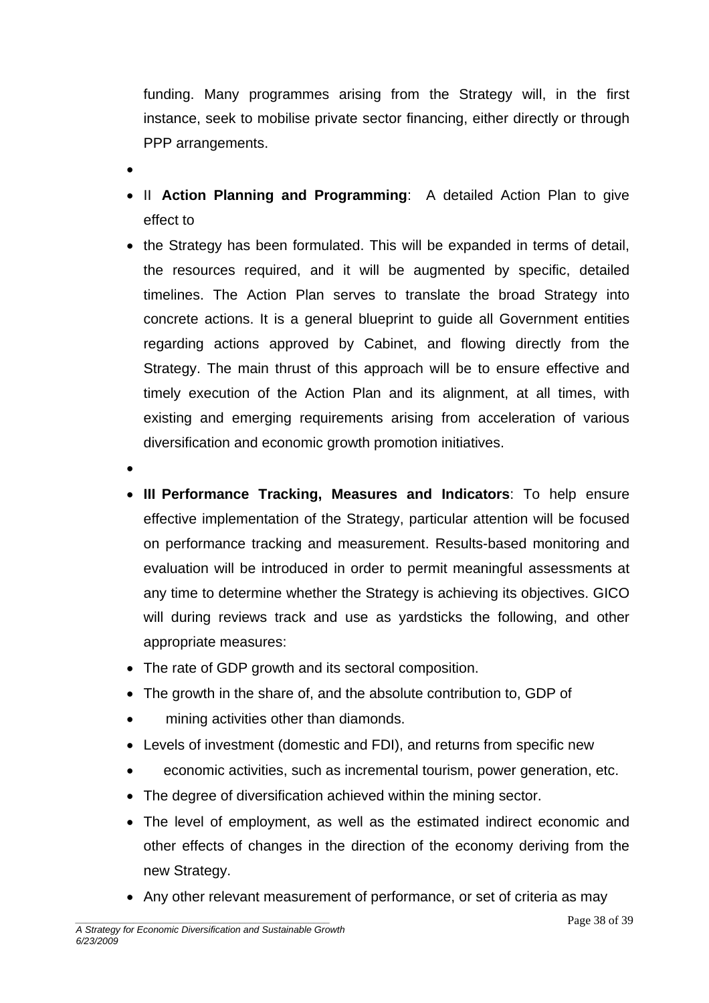funding. Many programmes arising from the Strategy will, in the first instance, seek to mobilise private sector financing, either directly or through PPP arrangements.

- •
- II **Action Planning and Programming**: A detailed Action Plan to give effect to
- the Strategy has been formulated. This will be expanded in terms of detail, the resources required, and it will be augmented by specific, detailed timelines. The Action Plan serves to translate the broad Strategy into concrete actions. It is a general blueprint to guide all Government entities regarding actions approved by Cabinet, and flowing directly from the Strategy. The main thrust of this approach will be to ensure effective and timely execution of the Action Plan and its alignment, at all times, with existing and emerging requirements arising from acceleration of various diversification and economic growth promotion initiatives.
- •
- **III Performance Tracking, Measures and Indicators**: To help ensure effective implementation of the Strategy, particular attention will be focused on performance tracking and measurement. Results-based monitoring and evaluation will be introduced in order to permit meaningful assessments at any time to determine whether the Strategy is achieving its objectives. GICO will during reviews track and use as yardsticks the following, and other appropriate measures:
- The rate of GDP growth and its sectoral composition.
- The growth in the share of, and the absolute contribution to, GDP of
- mining activities other than diamonds.
- Levels of investment (domestic and FDI), and returns from specific new
- economic activities, such as incremental tourism, power generation, etc.
- The degree of diversification achieved within the mining sector.
- The level of employment, as well as the estimated indirect economic and other effects of changes in the direction of the economy deriving from the new Strategy.
- Any other relevant measurement of performance, or set of criteria as may